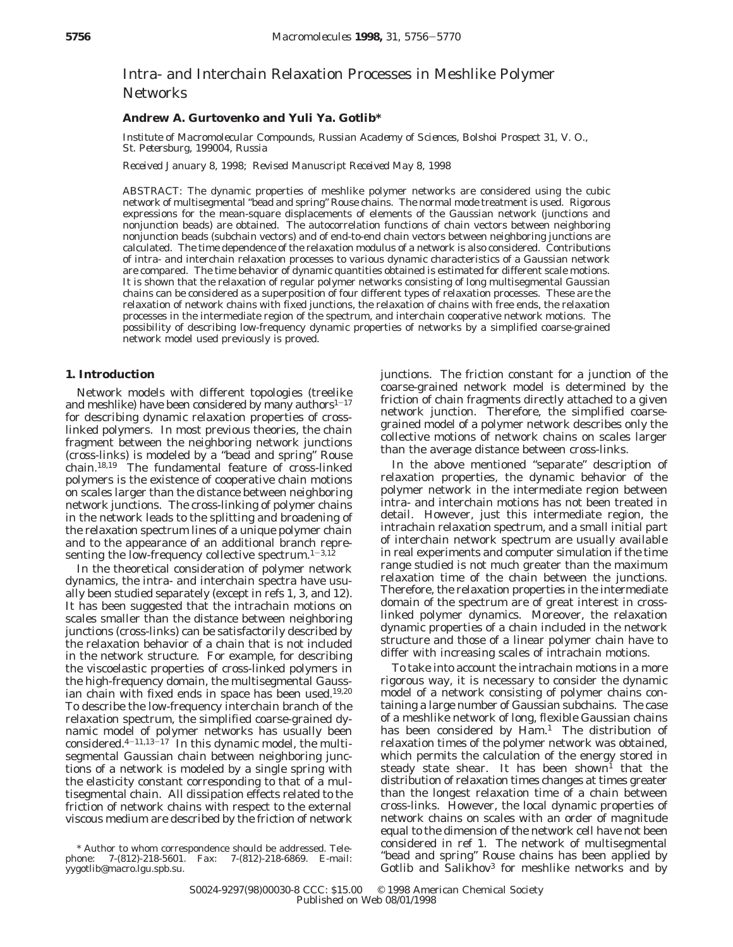# Intra- and Interchain Relaxation Processes in Meshlike Polymer **Networks**

# **Andrew A. Gurtovenko and Yuli Ya. Gotlib\***

*Institute of Macromolecular Compounds, Russian Academy of Sciences, Bolshoi Prospect 31, V. O., St. Petersburg, 199004, Russia*

*Received January 8, 1998; Revised Manuscript Received May 8, 1998*

ABSTRACT: The dynamic properties of meshlike polymer networks are considered using the cubic network of multisegmental "bead and spring" Rouse chains. The normal mode treatment is used. Rigorous expressions for the mean-square displacements of elements of the Gaussian network (junctions and nonjunction beads) are obtained. The autocorrelation functions of chain vectors between neighboring nonjunction beads (subchain vectors) and of end-to-end chain vectors between neighboring junctions are calculated. The time dependence of the relaxation modulus of a network is also considered. Contributions of intra- and interchain relaxation processes to various dynamic characteristics of a Gaussian network are compared. The time behavior of dynamic quantities obtained is estimated for different scale motions. It is shown that the relaxation of regular polymer networks consisting of long multisegmental Gaussian chains can be considered as a superposition of four different types of relaxation processes. These are the relaxation of network chains with fixed junctions, the relaxation of chains with free ends, the relaxation processes in the intermediate region of the spectrum, and interchain cooperative network motions. The possibility of describing low-frequency dynamic properties of networks by a simplified coarse-grained network model used previously is proved.

# **1. Introduction**

Network models with different topologies (treelike and meshlike) have been considered by many authors $1-17$ for describing dynamic relaxation properties of crosslinked polymers. In most previous theories, the chain fragment between the neighboring network junctions (cross-links) is modeled by a "bead and spring" Rouse chain.18,19 The fundamental feature of cross-linked polymers is the existence of cooperative chain motions on scales larger than the distance between neighboring network junctions. The cross-linking of polymer chains in the network leads to the splitting and broadening of the relaxation spectrum lines of a unique polymer chain and to the appearance of an additional branch representing the low-frequency collective spectrum. $1-3,12$ 

In the theoretical consideration of polymer network dynamics, the intra- and interchain spectra have usually been studied separately (except in refs 1, 3, and 12). It has been suggested that the intrachain motions on scales smaller than the distance between neighboring junctions (cross-links) can be satisfactorily described by the relaxation behavior of a chain that is not included in the network structure. For example, for describing the viscoelastic properties of cross-linked polymers in the high-frequency domain, the multisegmental Gaussian chain with fixed ends in space has been used.<sup>19,20</sup> To describe the low-frequency interchain branch of the relaxation spectrum, the simplified coarse-grained dynamic model of polymer networks has usually been considered. $4-11,13-17$  In this dynamic model, the multisegmental Gaussian chain between neighboring junctions of a network is modeled by a single spring with the elasticity constant corresponding to that of a multisegmental chain. All dissipation effects related to the friction of network chains with respect to the external viscous medium are described by the friction of network

\* Author to whom correspondence should be addressed. Telephone: 7-(812)-218-5601. Fax: 7-(812)-218-6869. E-mail: yygotlib@macro.lgu.spb.su.

junctions. The friction constant for a junction of the coarse-grained network model is determined by the friction of chain fragments directly attached to a given network junction. Therefore, the simplified coarsegrained model of a polymer network describes only the collective motions of network chains on scales larger than the average distance between cross-links.

In the above mentioned "separate" description of relaxation properties, the dynamic behavior of the polymer network in the intermediate region between intra- and interchain motions has not been treated in detail. However, just this intermediate region, the intrachain relaxation spectrum, and a small initial part of interchain network spectrum are usually available in real experiments and computer simulation if the time range studied is not much greater than the maximum relaxation time of the chain between the junctions. Therefore, the relaxation properties in the intermediate domain of the spectrum are of great interest in crosslinked polymer dynamics. Moreover, the relaxation dynamic properties of a chain included in the network structure and those of a linear polymer chain have to differ with increasing scales of intrachain motions.

To take into account the intrachain motions in a more rigorous way, it is necessary to consider the dynamic model of a network consisting of polymer chains containing a large number of Gaussian subchains. The case of a meshlike network of long, flexible Gaussian chains has been considered by Ham.<sup>1</sup> The distribution of relaxation times of the polymer network was obtained, which permits the calculation of the energy stored in steady state shear. It has been shown<sup>1</sup> that the distribution of relaxation times changes at times greater than the longest relaxation time of a chain between cross-links. However, the local dynamic properties of network chains on scales with an order of magnitude equal to the dimension of the network cell have not been considered in ref 1. The network of multisegmental "bead and spring" Rouse chains has been applied by Gotlib and Salikhov3 for meshlike networks and by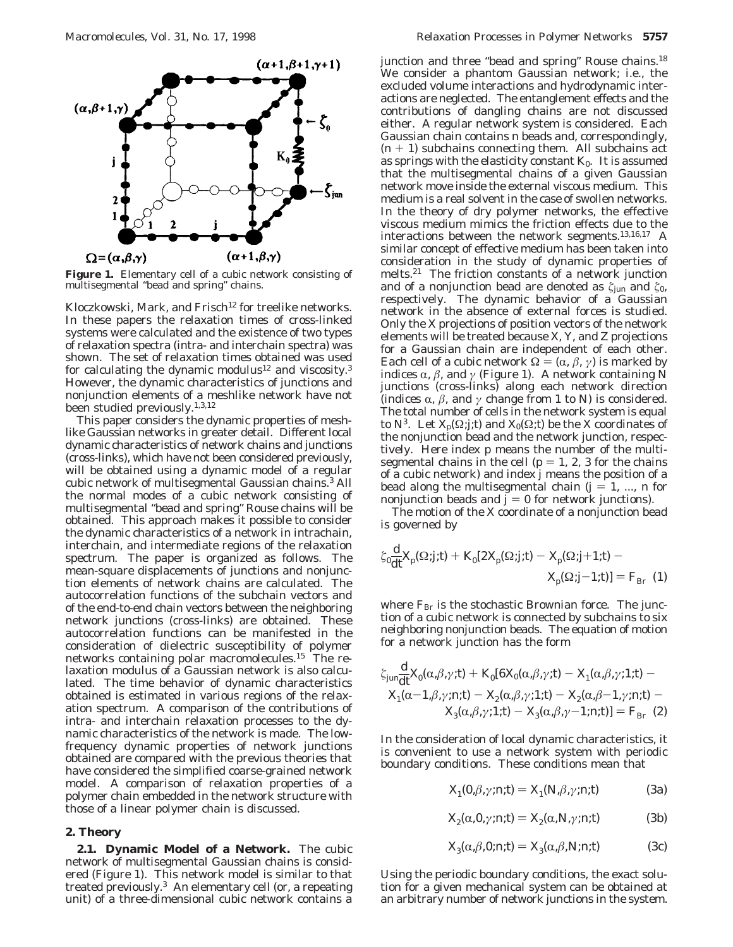

**Figure 1.** Elementary cell of a cubic network consisting of multisegmental "bead and spring" chains.

Kloczkowski, Mark, and Frisch<sup>12</sup> for treelike networks. In these papers the relaxation times of cross-linked systems were calculated and the existence of two types of relaxation spectra (intra- and interchain spectra) was shown. The set of relaxation times obtained was used for calculating the dynamic modulus<sup>12</sup> and viscosity.<sup>3</sup> However, the dynamic characteristics of junctions and nonjunction elements of a meshlike network have not been studied previously.1,3,12

This paper considers the dynamic properties of meshlike Gaussian networks in greater detail. Different local dynamic characteristics of network chains and junctions (cross-links), which have not been considered previously, will be obtained using a dynamic model of a regular cubic network of multisegmental Gaussian chains.3 All the normal modes of a cubic network consisting of multisegmental "bead and spring" Rouse chains will be obtained. This approach makes it possible to consider the dynamic characteristics of a network in intrachain, interchain, and intermediate regions of the relaxation spectrum. The paper is organized as follows. The mean-square displacements of junctions and nonjunction elements of network chains are calculated. The autocorrelation functions of the subchain vectors and of the end-to-end chain vectors between the neighboring network junctions (cross-links) are obtained. These autocorrelation functions can be manifested in the consideration of dielectric susceptibility of polymer networks containing polar macromolecules.15 The relaxation modulus of a Gaussian network is also calculated. The time behavior of dynamic characteristics obtained is estimated in various regions of the relaxation spectrum. A comparison of the contributions of intra- and interchain relaxation processes to the dynamic characteristics of the network is made. The lowfrequency dynamic properties of network junctions obtained are compared with the previous theories that have considered the simplified coarse-grained network model. A comparison of relaxation properties of a polymer chain embedded in the network structure with those of a linear polymer chain is discussed.

## **2. Theory**

**2.1. Dynamic Model of a Network.** The cubic network of multisegmental Gaussian chains is considered (Figure 1). This network model is similar to that treated previously.3 An elementary cell (or, a repeating unit) of a three-dimensional cubic network contains a

junction and three "bead and spring" Rouse chains.<sup>18</sup> We consider a phantom Gaussian network; i.e., the excluded volume interactions and hydrodynamic interactions are neglected. The entanglement effects and the contributions of dangling chains are not discussed either. A regular network system is considered. Each Gaussian chain contains *n* beads and, correspondingly,  $(n + 1)$  subchains connecting them. All subchains act as springs with the elasticity constant *K*0. It is assumed that the multisegmental chains of a given Gaussian network move inside the external viscous medium. This medium is a real solvent in the case of swollen networks. In the theory of dry polymer networks, the effective viscous medium mimics the friction effects due to the interactions between the network segments.13,16,17 A similar concept of effective medium has been taken into consideration in the study of dynamic properties of melts.21 The friction constants of a network junction and of a nonjunction bead are denoted as  $\zeta_{\text{jun}}$  and  $\zeta_{0}$ , respectively. The dynamic behavior of a Gaussian network in the absence of external forces is studied. Only the *X* projections of position vectors of the network elements will be treated because *X*, *Y*, and *Z* projections for a Gaussian chain are independent of each other. Each cell of a cubic network  $\Omega = (\alpha, \beta, \gamma)$  is marked by indices  $\alpha$ ,  $\beta$ , and *γ* (Figure 1). A network containing  $\dot{N}$ junctions (cross-links) along each network direction (indices  $\alpha$ ,  $\beta$ , and  $\gamma$  change from 1 to *N*) is considered. The total number of cells in the network system is equal to *N*<sup>3</sup>. Let  $X_p(\Omega; j; t)$  and  $X_0(\Omega; t)$  be the X coordinates of the nonjunction bead and the network junction, respectively. Here index *p* means the number of the multisegmental chains in the cell ( $p = 1, 2, 3$  for the chains of a cubic network) and index *j* means the position of a bead along the multisegmental chain  $(j = 1, ..., n$  for nonjunction beads and  $\ddot{j} = 0$  for network junctions).

The motion of the *X* coordinate of a nonjunction bead is governed by

$$
\zeta_0 \frac{\mathrm{d}}{\mathrm{d}t} X_\mathrm{p}(\Omega; j; t) + K_0 \left[ 2X_\mathrm{p}(\Omega; j; t) - X_\mathrm{p}(\Omega; j+1; t) - X_\mathrm{p}(\Omega; j-1; t) \right] = F_{\mathrm{Br}}(1)
$$

where  $F_{\text{Br}}$  is the stochastic Brownian force. The junction of a cubic network is connected by subchains to six neighboring nonjunction beads. The equation of motion for a network junction has the form

$$
\xi_{\text{jun}}\frac{\mathrm{d}}{\mathrm{d}t}X_0(\alpha,\beta,\gamma;t) + K_0[6X_0(\alpha,\beta,\gamma;t) - X_1(\alpha,\beta,\gamma;t,t)] -
$$
  

$$
X_1(\alpha-1,\beta,\gamma;n;t) - X_2(\alpha,\beta,\gamma;t,t) - X_2(\alpha,\beta-1,\gamma;n;t) -
$$
  

$$
X_3(\alpha,\beta,\gamma;t,t) - X_3(\alpha,\beta,\gamma-1;n;t)] = F_{\text{Br}}(2)
$$

In the consideration of local dynamic characteristics, it is convenient to use a network system with periodic boundary conditions. These conditions mean that

$$
X_1(0,\beta,\gamma;n;t) = X_1(N,\beta,\gamma;n;t)
$$
 (3a)

$$
X_2(\alpha, 0, \gamma; n; t) = X_2(\alpha, N, \gamma; n; t)
$$
 (3b)

$$
X_3(\alpha,\beta,0;n;t) = X_3(\alpha,\beta,N;n;t)
$$
 (3c)

Using the periodic boundary conditions, the exact solution for a given mechanical system can be obtained at an arbitrary number of network junctions in the system.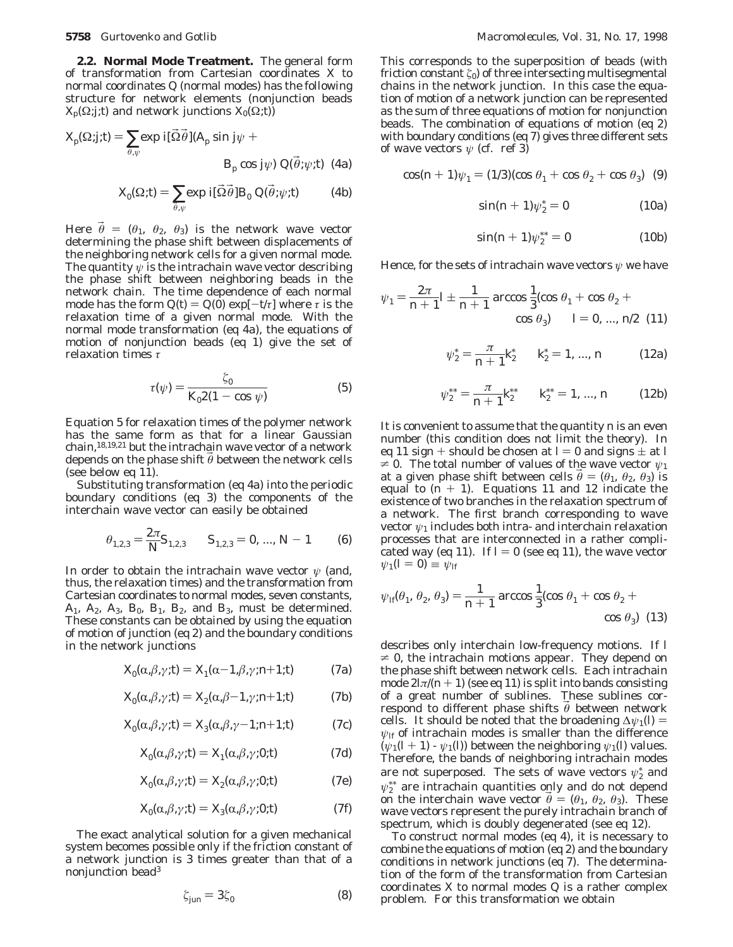**2.2. Normal Mode Treatment.** The general form of transformation from Cartesian coordinates *X* to normal coordinates *Q* (normal modes) has the following structure for network elements (nonjunction beads  $X_p(\Omega; f; t)$  and network junctions  $X_0(\Omega; t)$ 

$$
X_p(\Omega;j;t) = \sum_{\vec{\theta},\psi} \exp i[\vec{\Omega}\vec{\theta}](A_p \sin j\psi + B_p \cos j\psi) Q(\vec{\theta};\psi;t)
$$
 (4a)

$$
X_0(\Omega;t) = \sum_{\vec{\theta},\psi} \exp i[\vec{\Omega}\vec{\theta}]B_0 Q(\vec{\theta};\psi;t) \tag{4b}
$$

Here  $\bar{\theta} = (\theta_1, \theta_2, \theta_3)$  is the network wave vector determining the phase shift between displacements of the neighboring network cells for a given normal mode. The quantity  $\psi$  is the intrachain wave vector describing the phase shift between neighboring beads in the network chain. The time dependence of each normal mode has the form  $Q(t) = Q(0) \exp[-t/\tau]$  where  $\tau$  is the relaxation time of a given normal mode. With the normal mode transformation (eq 4a), the equations of motion of nonjunction beads (eq 1) give the set of relaxation times *τ*

$$
\tau(\psi) = \frac{\zeta_0}{K_0 2(1 - \cos \psi)}\tag{5}
$$

Equation 5 for relaxation times of the polymer network has the same form as that for a linear Gaussian chain,<sup>18,19,21</sup> but the intrachain wave vector of a network depends on the phase shift θ between the network cells (see below eq 11).

Substituting transformation (eq 4a) into the periodic boundary conditions (eq 3) the components of the interchain wave vector can easily be obtained

$$
\theta_{1,2,3} = \frac{2\pi}{N} S_{1,2,3} \qquad S_{1,2,3} = 0, \dots, N-1 \tag{6}
$$

In order to obtain the intrachain wave vector *ψ* (and, thus, the relaxation times) and the transformation from Cartesian coordinates to normal modes, seven constants, *A*1, *A*2, *A*3*, B*0, *B*1, *B*2, and *B*3, must be determined. These constants can be obtained by using the equation of motion of junction (eq 2) and the boundary conditions in the network junctions

$$
X_0(\alpha, \beta, \gamma; t) = X_1(\alpha - 1, \beta, \gamma; n+1; t)
$$
 (7a)

$$
X_0(\alpha, \beta, \gamma; t) = X_2(\alpha, \beta - 1, \gamma; n + 1; t)
$$
 (7b)

$$
X_0(\alpha, \beta, \gamma; t) = X_3(\alpha, \beta, \gamma - 1; n + 1; t)
$$
 (7c)

$$
X_0(\alpha, \beta, \gamma; t) = X_1(\alpha, \beta, \gamma; 0; t)
$$
 (7d)

$$
X_0(\alpha, \beta, \gamma; t) = X_2(\alpha, \beta, \gamma; 0; t)
$$
 (7e)

$$
X_0(\alpha, \beta, \gamma; t) = X_3(\alpha, \beta, \gamma; 0; t)
$$
 (7f)

The exact analytical solution for a given mechanical system becomes possible only if the friction constant of a network junction is 3 times greater than that of a nonjunction bead3

$$
\zeta_{jun} = 3\zeta_0 \tag{8}
$$

This corresponds to the superposition of beads (with friction constant *ú*0) of three intersecting multisegmental chains in the network junction. In this case the equation of motion of a network junction can be represented as the sum of three equations of motion for nonjunction beads. The combination of equations of motion (eq 2) with boundary conditions (eq 7) gives three different sets of wave vectors  $\psi$  (cf. ref 3)

$$
\cos(n+1)\psi_1 = (1/3)(\cos\theta_1 + \cos\theta_2 + \cos\theta_3)
$$
 (9)

$$
\sin(n+1)\psi_2^* = 0 \tag{10a}
$$

$$
\sin(n+1)\psi_2^{**} = 0 \tag{10b}
$$

Hence, for the sets of intrachain wave vectors *ψ* we have

$$
\psi_1 = \frac{2\pi}{n+1} l \pm \frac{1}{n+1} \arccos \frac{1}{3} (\cos \theta_1 + \cos \theta_2 + \cos \theta_3)
$$
  

$$
l = 0, ..., n/2 \quad (11)
$$

$$
\psi_2^* = \frac{\pi}{n+1} k_2^* \qquad k_2^* = 1, ..., n \tag{12a}
$$

$$
\psi_2^{**} = \frac{\pi}{n+1} k_2^{**} \qquad k_2^{**} = 1, ..., n \qquad (12b)
$$

It is convenient to assume that the quantity *n* is an even number (this condition does not limit the theory). In eq 11 sign + should be chosen at  $l = 0$  and signs  $\pm$  at *l*  $\neq$  0. The total number of values of the wave vector  $\psi_1$ at a given phase shift between cells  $\vec{\theta} = (\theta_1, \theta_2, \theta_3)$  is equal to  $(n + 1)$ . Equations 11 and 12 indicate the existence of two branches in the relaxation spectrum of a network. The first branch corresponding to wave vector *ψ*<sup>1</sup> includes both intra- and interchain relaxation processes that are interconnected in a rather complicated way (eq 11). If  $l = 0$  (see eq 11), the wave vector  $\psi_1(l=0) \equiv \psi_{1l}$ 

$$
\psi_{10}(\theta_1, \theta_2, \theta_3) = \frac{1}{n+1} \arccos \frac{1}{3} (\cos \theta_1 + \cos \theta_2 + \cos \theta_3)
$$
 (13)

describes only interchain low-frequency motions. If *l*  $\neq$  0, the intrachain motions appear. They depend on the phase shift between network cells. Each intrachain mode  $2\ln((n+1))$  (see eq 11) is split into bands consisting of a great number of sublines. These sublines correspond to different phase shifts  $θ$  between network cells. It should be noted that the broadening  $\Delta \psi_1(\mathbf{l}) =$  $\psi$ *lf* of intrachain modes is smaller than the difference  $(\psi_1(l+1) \cdot \psi_1(l))$  between the neighboring  $\psi_1(l)$  values. Therefore, the bands of neighboring intrachain modes are not superposed. The sets of wave vectors  $\psi_2^*$  and  $ψ<sub>2</sub><sup>**</sup>$  are intrachain quantities only and do not depend on the interchain wave vector  $\theta = (\theta_1, \theta_2, \theta_3)$ . These wave vectors represent the purely intrachain branch of spectrum, which is doubly degenerated (see eq 12).

To construct normal modes (eq 4), it is necessary to combine the equations of motion (eq 2) and the boundary conditions in network junctions (eq 7). The determination of the form of the transformation from Cartesian coordinates X to normal modes *Q* is a rather complex problem. For this transformation we obtain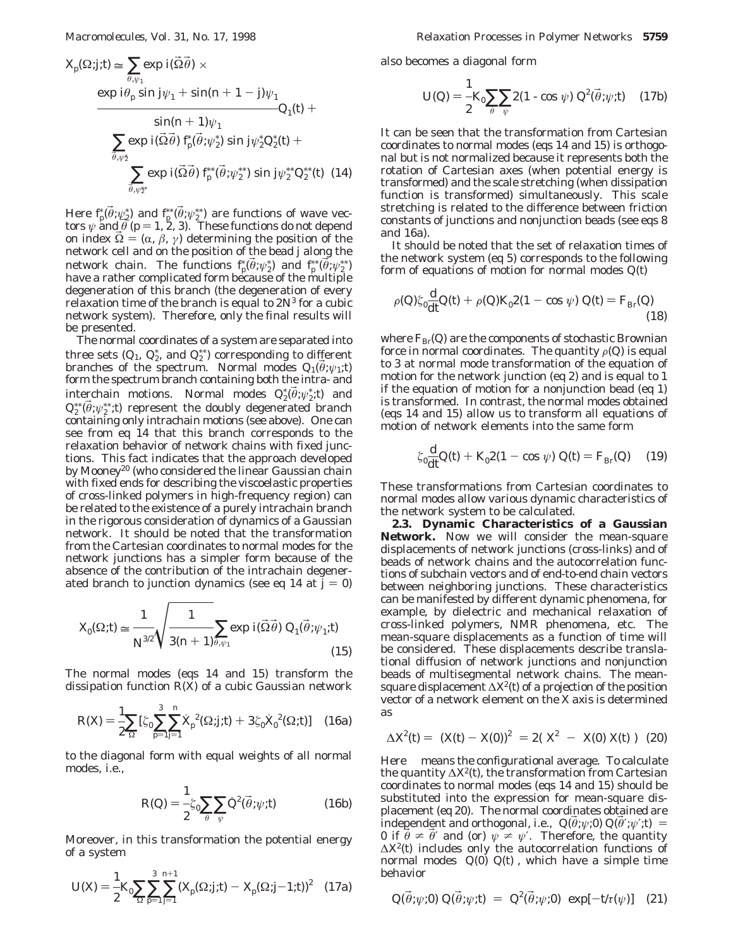$$
X_{p}(\Omega;j; t) \approx \sum_{\substack{\vec{\theta}, \psi_{1} \\ \text{exp}}} \exp i(\vec{\Omega}\vec{\theta}) \times
$$
  
\n
$$
\exp i\theta_{p} \sin j\psi_{1} + \sin(n+1-j)\psi_{1}
$$
  
\n
$$
\sum_{\substack{\vec{\theta}, \psi_{2} \\ \vec{\theta}, \psi_{2}^*}} \exp i(\vec{\Omega}\vec{\theta}) f_{p}(\vec{\theta}; \psi_{2}^*) \sin j\psi_{2}^* Q_{2}^*(t) +
$$
  
\n
$$
\sum_{\substack{\vec{\theta}, \psi_{2}^* \\ \vec{\theta}, \psi_{2}^*}} \exp i(\vec{\Omega}\vec{\theta}) f_{p}^*(\vec{\theta}; \psi_{2}^{**}) \sin j\psi_{2}^{**} Q_{2}^{**}(t) (14)
$$

Here  $f_p(\vec{\theta}; \psi_2^*)$  and  $f_p^*(\vec{\theta}; \psi_2^*)$  are functions of wave vectors  $\psi$  and  $\vec{\theta}$  ( $p = 1, 2, 3$ ). These functions do not depend tors  $\psi$  and  $\theta$  ( $p = 1, 2, 3$ ). These functions do not depend<br>on index  $\vec{Q} = (\alpha \beta \gamma)$  determining the position of the on index  $\Omega = (\alpha, \beta, \gamma)$  determining the position of the network cell and on the position of the bead *j* along the network chain. The functions  $f_p^*(\vec{\theta}; \psi_2^*)$  and  $f_p^*(\vec{\theta}; \psi_2^{**})$ <br>have a rather complicated form because of the multiple have a rather complicated form because of the multiple degeneration of this branch (the degeneration of every relaxation time of the branch is equal to  $2N<sup>3</sup>$  for a cubic network system). Therefore, only the final results will be presented.

The normal coordinates of a system are separated into three sets  $(Q_1, Q_2^*)$  and  $Q_2^{**}$  corresponding to different branches of the spectrum. Normal modes  $Q_1(\theta;\psi_1;t)$ form the spectrum branch containing both the intra- and interchain motions. Normal modes  $Q_2^* (\vec{\theta}; \psi_2^*; t)$  and  $Q_3^* (\vec{\theta}; \psi_2^*; t)$  represent the doubly degenerated branch  $Q_{\text{S}}^{**}(\vec{\theta};\psi_2^{**};t)$  represent the doubly degenerated branch containing only intrachain motions (see above). One can containing only intrachain motions (see above). One can see from eq 14 that this branch corresponds to the relaxation behavior of network chains with fixed junctions. This fact indicates that the approach developed by Mooney<sup>20</sup> (who considered the linear Gaussian chain with fixed ends for describing the viscoelastic properties of cross-linked polymers in high-frequency region) can be related to the existence of a purely intrachain branch in the rigorous consideration of dynamics of a Gaussian network. It should be noted that the transformation from the Cartesian coordinates to normal modes for the network junctions has a simpler form because of the absence of the contribution of the intrachain degenerated branch to junction dynamics (see eq 14 at  $j = 0$ )

$$
X_0(\Omega;t) \simeq \frac{1}{N^{\beta/2}} \sqrt{\frac{1}{3(n+1)\bar{\theta}, \psi_1}} \exp\ i(\vec{\Omega}\vec{\theta})\ Q_1(\vec{\theta};\psi_1;t) \tag{15}
$$

The normal modes (eqs 14 and 15) transform the dissipation function *R*(*X*) of a cubic Gaussian network

$$
R(X) = \frac{1}{2} \sum_{\Omega} \left[ \zeta_0 \sum_{p=1}^3 \sum_{j=1}^n X_p^2(\Omega; j; t) + 3 \zeta_0 X_0^2(\Omega; t) \right]
$$
 (16a)

to the diagonal form with equal weights of all normal modes, i.e.,

$$
R(Q) = -\frac{1}{2}\zeta_0 \sum_{\vec{\theta}} \sum_{\psi} \dot{Q}^2(\vec{\theta}; \psi; t)
$$
 (16b)

Moreover, in this transformation the potential energy of a system

$$
U(X) = \frac{1}{2} K_0 \sum_{\Omega} \sum_{p=1}^{3} \sum_{j=1}^{n+1} (X_p(\Omega; j; t) - X_p(\Omega; j-1; t))^2
$$
 (17a)

also becomes a diagonal form

$$
U(Q) = \frac{1}{2} K_0 \sum_{\vec{\theta}} \sum_{\psi} 2(1 - \cos \psi) Q^2(\vec{\theta}; \psi; t) \quad (17b)
$$

It can be seen that the transformation from Cartesian coordinates to normal modes (eqs 14 and 15) is orthogonal but is not normalized because it represents both the rotation of Cartesian axes (when potential energy is transformed) and the scale stretching (when dissipation function is transformed) simultaneously. This scale stretching is related to the difference between friction constants of junctions and nonjunction beads (see eqs 8 and 16a).

It should be noted that the set of relaxation times of the network system (eq 5) corresponds to the following form of equations of motion for normal modes *Q*(*t*)

$$
\rho(Q)\zeta_0 \frac{\mathrm{d}}{\mathrm{d}t}Q(t) + \rho(Q)K_0 2(1 - \cos \psi) \ Q(t) = F_{\mathrm{Br}}(Q) \tag{18}
$$

where  $F_{\text{Br}}(Q)$  are the components of stochastic Brownian force in normal coordinates. The quantity  $\rho(Q)$  is equal to 3 at normal mode transformation of the equation of motion for the network junction (eq 2) and is equal to 1 if the equation of motion for a nonjunction bead (eq 1) is transformed. In contrast, the normal modes obtained (eqs 14 and 15) allow us to transform all equations of motion of network elements into the same form

$$
\zeta_0 \frac{d}{dt} Q(t) + K_0 2(1 - \cos \psi) \ Q(t) = F_{Br}(Q) \tag{19}
$$

These transformations from Cartesian coordinates to normal modes allow various dynamic characteristics of the network system to be calculated.

**2.3. Dynamic Characteristics of a Gaussian Network.** Now we will consider the mean-square displacements of network junctions (cross-links) and of beads of network chains and the autocorrelation functions of subchain vectors and of end-to-end chain vectors between neighboring junctions. These characteristics can be manifested by different dynamic phenomena, for example, by dielectric and mechanical relaxation of cross-linked polymers, NMR phenomena, etc. The mean-square displacements as a function of time will be considered. These displacements describe translational diffusion of network junctions and nonjunction beads of multisegmental network chains. The meansquare displacement ∆*X*2(*t*) of a projection of the position vector of a network element on the X axis is determined as

$$
\Delta X^2(t) = \langle (X(t) - X(0))^2 \rangle = 2(\langle X^2 \rangle - \langle X(0) X(t) \rangle)
$$
 (20)

Here  $\langle \rangle$  means the configurational average. To calculate the quantity ∆*X*2(*t*), the transformation from Cartesian coordinates to normal modes (eqs 14 and 15) should be substituted into the expression for mean-square displacement (eq 20). The normal coordinates obtained are independent and orthogonal, i.e.,  $\langle Q(\theta;\psi;0) Q(\theta';\psi';t) \rangle =$ 0 if  $\theta \neq \theta'$  and (or)  $\psi \neq \psi'$ . Therefore, the quantity ∆*X*2(*t*) includes only the autocorrelation functions of normal modes  $\langle Q(0) | Q(t) \rangle$ , which have a simple time behavior

$$
\langle Q(\vec{\theta}; \psi; 0) \ Q(\vec{\theta}; \psi; t) \rangle = \langle Q^2(\vec{\theta}; \psi; 0) \rangle \exp[-t/\tau(\psi)] \quad (21)
$$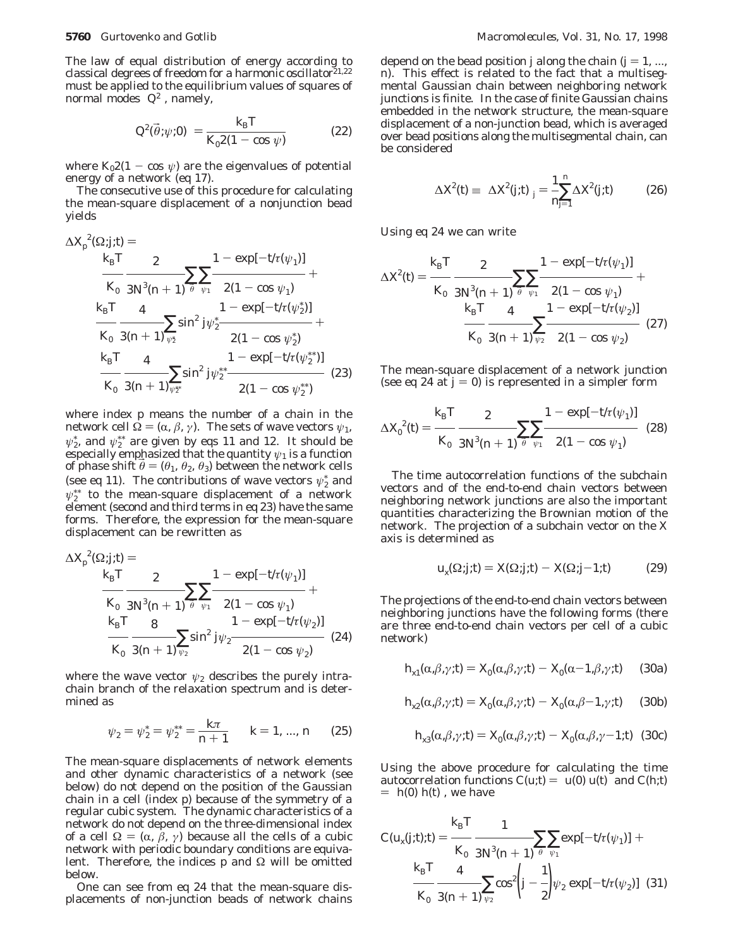The law of equal distribution of energy according to classical degrees of freedom for a harmonic oscillator<sup>21,22</sup> must be applied to the equilibrium values of squares of normal modes  $\langle Q^2 \rangle$ , namely,

$$
\langle Q^2(\vec{\theta}; \psi; 0) \rangle = \frac{k_{\rm B}T}{K_0 2(1 - \cos \psi)} \tag{22}
$$

where  $K_02(1 - \cos \psi)$  are the eigenvalues of potential energy of a network (eq 17).

The consecutive use of this procedure for calculating the mean-square displacement of a nonjunction bead yields

$$
\Delta X_{\rho}^{2}(\Omega;j;t) =
$$
\n
$$
\frac{k_{\text{B}}T}{K_{0}} \frac{2}{3N^{\beta}(n+1)^{\frac{1}{\theta}} \psi_{1}} \frac{1 - \exp[-t/\tau(\psi_{1})]}{2(1 - \cos \psi_{1})} + \frac{k_{\text{B}}T}{K_{0}} \frac{4}{3(n+1)\psi_{2}^{*}} \frac{1 - \exp[-t/\tau(\psi_{2}^{*})]}{2(1 - \cos \psi_{2}^{*})} + \frac{k_{\text{B}}T}{K_{0}} \frac{4}{3(n+1)\psi_{2}^{*}} \frac{1 - \exp[-t/\tau(\psi_{2}^{*})]}{2(1 - \cos \psi_{2}^{*})} \frac{k_{\text{B}}T}{K_{0}} \frac{4}{3(n+1)\psi_{2}^{*}} \frac{1 - \exp[-t/\tau(\psi_{2}^{*})]}{2(1 - \cos \psi_{2}^{*})}
$$
(23)

where index *p* means the number of a chain in the network cell  $\Omega = (\alpha, \beta, \gamma)$ . The sets of wave vectors  $\psi_1$ ,  $\psi_2^*$ , and  $\psi_2^{**}$  are given by eqs 11 and 12. It should be especially emphasized that the quantity  $\psi_1$  is a function of phase shift  $\theta = (\theta_1, \theta_2, \theta_3)$  between the network cells (see eq 11). The contributions of wave vectors  $\psi_2^*$  and  $\psi_2^{**}$  to the mean-square displacement of a network element (second and third terms in eq 23) have the same forms. Therefore, the expression for the mean-square displacement can be rewritten as

$$
\Delta X_{p}^{2}(\Omega;j,t) = \frac{k_{B}T}{K_{0}} \frac{2}{3N^{3}(n+1)^{\frac{1}{\theta}} \frac{\sum\limits_{\psi_{1}} 1 - \exp[-t/\tau(\psi_{1})]}{2(1 - \cos \psi_{1})} + \frac{k_{B}T}{K_{0}} \frac{8}{3(n+1)\frac{\sum\limits_{\psi_{2}} \sin^{2}j\psi_{2} - 2(1 - \cos \psi_{2})}{2(1 - \cos \psi_{2})} (24)
$$

where the wave vector  $\psi_2$  describes the purely intrachain branch of the relaxation spectrum and is determined as

$$
\psi_2 = \psi_2^* = \psi_2^{**} = \frac{k\pi}{n+1}
$$
  $k = 1, ..., n$  (25)

The mean-square displacements of network elements and other dynamic characteristics of a network (see below) do not depend on the position of the Gaussian chain in a cell (index *p*) because of the symmetry of a regular cubic system. The dynamic characteristics of a network do not depend on the three-dimensional index of a cell  $\Omega = (\alpha, \beta, \gamma)$  because all the cells of a cubic network with periodic boundary conditions are equivalent. Therefore, the indices  $p$  and  $\Omega$  will be omitted below.

One can see from eq 24 that the mean-square displacements of non-junction beads of network chains

depend on the bead position *j* along the chain  $(j = 1, ...,$ *n*). This effect is related to the fact that a multisegmental Gaussian chain between neighboring network junctions is finite. In the case of finite Gaussian chains embedded in the network structure, the mean-square displacement of a non-junction bead, which is averaged over bead positions along the multisegmental chain, can be considered

$$
\Delta X^2(t) \equiv \langle \Delta X^2(j;t) \rangle_j = \frac{1}{n_{j=1}}^n \Delta X^2(j;t) \tag{26}
$$

Using eq 24 we can write

$$
\Delta X^{2}(t) = \frac{k_{\mathrm{B}}T}{K_{0}} \frac{2}{3N^{3}(n+1)} \sum_{\theta} \sum_{\psi_{1}} \frac{1 - \exp[-t\tau(\psi_{1})]}{2(1 - \cos \psi_{1})} + \\ \frac{k_{\mathrm{B}}T}{K_{0}} \frac{4}{3(n+1)} \sum_{\psi_{2}} \frac{1 - \exp[-t\tau(\psi_{2})]}{2(1 - \cos \psi_{2})} \tag{27}
$$

The mean-square displacement of a network junction (see eq 24 at  $j = 0$ ) is represented in a simpler form

$$
\Delta X_0^2(t) = \frac{k_\text{B}T}{K_0} \frac{2}{3N^3(n+1)} \sum_{\bar{\theta}} \sum_{\psi_1} \frac{1 - \exp[-t/\tau(\psi_1)]}{2(1 - \cos \psi_1)} \tag{28}
$$

The time autocorrelation functions of the subchain vectors and of the end-to-end chain vectors between neighboring network junctions are also the important quantities characterizing the Brownian motion of the network. The projection of a subchain vector on the *X* axis is determined as

$$
u_x(\Omega;j;t) = X(\Omega;j;t) - X(\Omega;j-1;t) \tag{29}
$$

The projections of the end-to-end chain vectors between neighboring junctions have the following forms (there are three end-to-end chain vectors per cell of a cubic network)

$$
h_{x1}(\alpha,\beta,\gamma;t) = X_0(\alpha,\beta,\gamma;t) - X_0(\alpha-1,\beta,\gamma;t) \quad (30a)
$$

$$
h_{x2}(\alpha,\beta,\gamma;t) = X_0(\alpha,\beta,\gamma;t) - X_0(\alpha,\beta-1,\gamma;t) \quad (30b)
$$

$$
h_{x3}(\alpha,\beta,\gamma;t) = X_0(\alpha,\beta,\gamma;t) - X_0(\alpha,\beta,\gamma-1;t)
$$
 (30c)

Using the above procedure for calculating the time autocorrelation functions  $C(u,t) = \langle u(0) u(t) \rangle$  and  $C(h,t)$  $=$   $\langle h(0) h(t) \rangle$ , we have

$$
C(u_x(j; t); t) = \frac{k_{\rm B}T}{K_0} \frac{1}{3N^3(n+1)^{\frac{2}{\theta}} \psi_1} \sum_{\psi_1} \exp[-t'\tau(\psi_1)] + \frac{k_{\rm B}T}{K_0} \frac{4}{3(n+1)\psi_2} \cos^2\left(j - \frac{1}{2}\right) \psi_2 \exp[-t'\tau(\psi_2)] \quad (31)
$$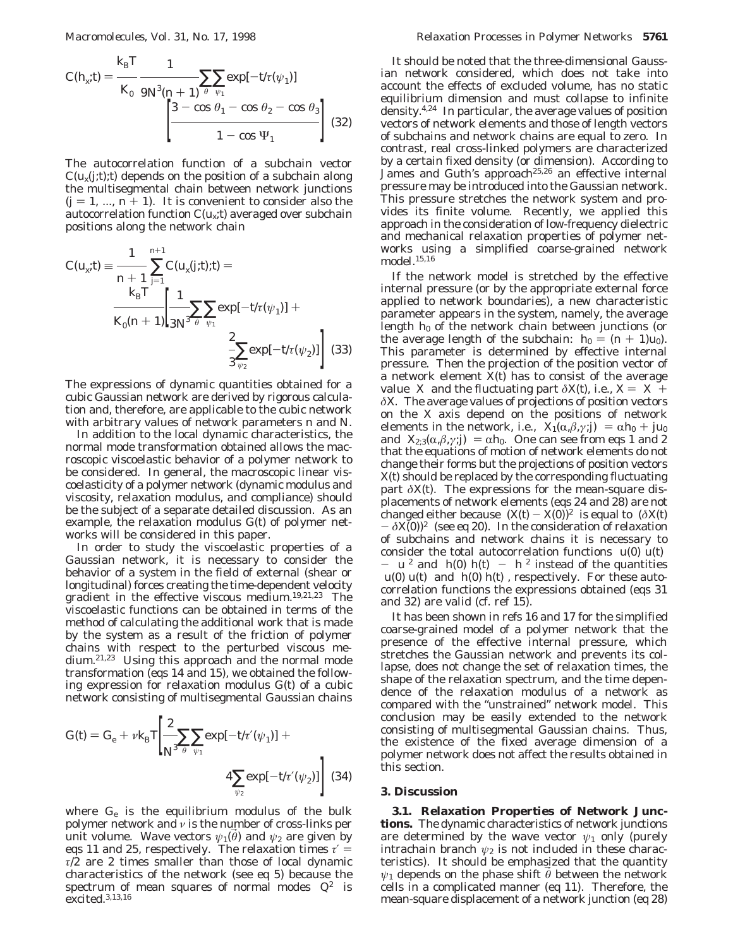$$
C(h_x; t) = \frac{k_{\rm B}T}{K_0} \frac{1}{9N^3(n+1)} \sum_{\theta} \sum_{\psi_1} \exp[-t/\tau(\psi_1)]
$$
  

$$
\left[ \frac{3 - \cos \theta_1 - \cos \theta_2 - \cos \theta_3}{1 - \cos \psi_1} \right]
$$
(32)

The autocorrelation function of a subchain vector  $C(u_x(j,t);t)$  depends on the position of a subchain along the multisegmental chain between network junctions  $(j = 1, ..., n + 1)$ . It is convenient to consider also the autocorrelation function *C*(*ux*;*t*) averaged over subchain positions along the network chain

$$
C(u_x; t) = \frac{1}{n+1} \sum_{j=1}^{n+1} C(u_x(j; t); t) =
$$
  

$$
\frac{k_B T}{K_0 (n+1)} \left[ \frac{1}{3N^{\beta}} \sum_{\vec{\theta}} \sum_{\psi_1} \exp[-t/\tau(\psi_1)] + \frac{2}{3 \psi_2} \exp[-t/\tau(\psi_2)] \right]
$$
(33)

The expressions of dynamic quantities obtained for a cubic Gaussian network are derived by rigorous calculation and, therefore, are applicable to the cubic network with arbitrary values of network parameters *n* and *N*.

In addition to the local dynamic characteristics, the normal mode transformation obtained allows the macroscopic viscoelastic behavior of a polymer network to be considered. In general, the macroscopic linear viscoelasticity of a polymer network (dynamic modulus and viscosity, relaxation modulus, and compliance) should be the subject of a separate detailed discussion. As an example, the relaxation modulus *G*(*t*) of polymer networks will be considered in this paper.

In order to study the viscoelastic properties of a Gaussian network, it is necessary to consider the behavior of a system in the field of external (shear or longitudinal) forces creating the time-dependent velocity gradient in the effective viscous medium.19,21,23 The viscoelastic functions can be obtained in terms of the method of calculating the additional work that is made by the system as a result of the friction of polymer chains with respect to the perturbed viscous medium.21,23 Using this approach and the normal mode transformation (eqs 14 and 15), we obtained the following expression for relaxation modulus *G*(*t*) of a cubic network consisting of multisegmental Gaussian chains

$$
G(t) = G_{\rm e} + \nu k_{\rm B} T \left[ \frac{2}{N^3} \sum_{\bar{\theta}} \sum_{\psi_1} \exp[-t/\tau'(\psi_1)] + 4 \sum_{\psi_2} \exp[-t/\tau'(\psi_2)] \right] (34)
$$

where *G*<sup>e</sup> is the equilibrium modulus of the bulk polymer network and *ν* is the number of cross-links per unit volume. Wave vectors  $\psi_1(\theta)$  and  $\psi_2$  are given by eqs 11 and 25, respectively. The relaxation times  $\tau' =$  $\tau/2$  are 2 times smaller than those of local dynamic characteristics of the network (see eq 5) because the spectrum of mean squares of normal modes  $\langle Q^2 \rangle$  is excited.3,13,16

It should be noted that the three-dimensional Gaussian network considered, which does not take into account the effects of excluded volume, has no static equilibrium dimension and must collapse to infinite density.4,24 In particular, the average values of position vectors of network elements and those of length vectors of subchains and network chains are equal to zero. In contrast, real cross-linked polymers are characterized by a certain fixed density (or dimension). According to James and Guth's approach<sup>25,26</sup> an effective internal pressure may be introduced into the Gaussian network. This pressure stretches the network system and provides its finite volume. Recently, we applied this approach in the consideration of low-frequency dielectric and mechanical relaxation properties of polymer networks using a simplified coarse-grained network model.15,16

If the network model is stretched by the effective internal pressure (or by the appropriate external force applied to network boundaries), a new characteristic parameter appears in the system, namely, the average length  $h_0$  of the network chain between junctions (or the average length of the subchain:  $h_0 = (n + 1)u_0$ . This parameter is determined by effective internal pressure. Then the projection of the position vector of a network element  $\overline{X}(t)$  has to consist of the average value  $\langle X \rangle$  and the fluctuating part  $\delta X(t)$ , i.e.,  $X = \langle X \rangle +$ *δX*. The average values of projections of position vectors on the *X* axis depend on the positions of network elements in the network, i.e.,  $\langle X_1(\alpha, \beta, \gamma; j) \rangle = \alpha h_0 + j u_0$ and  $\langle X_{2,3}(\alpha,\beta,\gamma;\mathbf{j})\rangle = \alpha h_0$ . One can see from eqs 1 and 2 that the equations of motion of network elements do not change their forms but the projections of position vectors *X*(*t*) should be replaced by the corresponding fluctuating part  $\delta X(t)$ . The expressions for the mean-square displacements of network elements (eqs 24 and 28) are not changed either because  $\langle (X(t) - X(0))^2 \rangle$  is equal to  $\langle (\delta X(t)) \rangle$  $-\delta X(0)$ <sup>2</sup> $\rangle$  (see eq 20). In the consideration of relaxation of subchains and network chains it is necessary to consider the total autocorrelation functions  $\langle u(0) u(t) \rangle$  $-\langle u \rangle^2$  and  $\langle h(0) h(t) \rangle - \langle h \rangle^2$  instead of the quantities  $\langle u(0) u(t) \rangle$  and  $\langle h(0) h(t) \rangle$ , respectively. For these autocorrelation functions the expressions obtained (eqs 31 and 32) are valid (cf. ref 15).

It has been shown in refs 16 and 17 for the simplified coarse-grained model of a polymer network that the presence of the effective internal pressure, which stretches the Gaussian network and prevents its collapse, does not change the set of relaxation times, the shape of the relaxation spectrum, and the time dependence of the relaxation modulus of a network as compared with the "unstrained" network model. This conclusion may be easily extended to the network consisting of multisegmental Gaussian chains. Thus, the existence of the fixed average dimension of a polymer network does not affect the results obtained in this section.

### **3. Discussion**

**3.1. Relaxation Properties of Network Junctions.** The dynamic characteristics of network junctions are determined by the wave vector  $\psi_1$  only (purely intrachain branch  $\psi_2$  is not included in these characteristics). It should be emphasized that the quantity  $\psi_1$  depends on the phase shift  $\vec{\theta}$  between the network cells in a complicated manner (eq 11). Therefore, the mean-square displacement of a network junction (eq 28)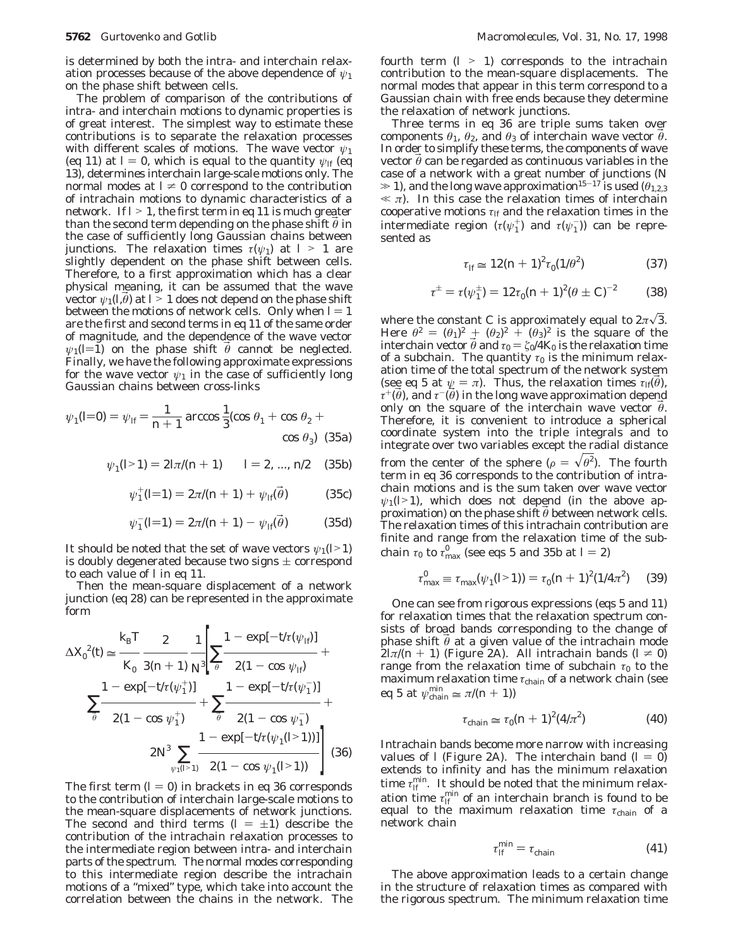is determined by both the intra- and interchain relaxation processes because of the above dependence of *ψ*<sup>1</sup> on the phase shift between cells.

The problem of comparison of the contributions of intra- and interchain motions to dynamic properties is of great interest. The simplest way to estimate these contributions is to separate the relaxation processes with different scales of motions. The wave vector *ψ*<sup>1</sup> (eq 11) at  $l = 0$ , which is equal to the quantity  $\psi_{l}$  (eq 13), determines interchain large-scale motions only. The normal modes at  $l \neq 0$  correspond to the contribution of intrachain motions to dynamic characteristics of a network. If  $l > 1$ , the first term in eq 11 is much greater than the second term depending on the phase shift  $\theta$  in the case of sufficiently long Gaussian chains between junctions. The relaxation times  $\tau(\psi_1)$  at  $l > 1$  are slightly dependent on the phase shift between cells. Therefore, to a first approximation which has a clear physical meaning, it can be assumed that the wave vector  $\psi_1(l,\theta)$  at  $l > 1$  does not depend on the phase shift between the motions of network cells. Only when  *= 1* are the first and second terms in eq 11 of the same order of magnitude, and the dependence of the wave vector  $\psi_1$ ( $l$ =1) on the phase shift  $\theta$  cannot be neglected. Finally, we have the following approximate expressions for the wave vector  $\psi_1$  in the case of sufficiently long Gaussian chains between cross-links

$$
\psi_1(l=0) = \psi_H = \frac{1}{n+1} \arccos \frac{1}{3} (\cos \theta_1 + \cos \theta_2 + \cos \theta_3)
$$
 (35a)

$$
\psi_1(l>1) = 2\ln((n+1)) \qquad l = 2, ..., n/2 \qquad (35b)
$$

$$
\psi_1^+(l=1) = 2\pi/(n+1) + \psi_{l}(\vec{\theta}) \tag{35c}
$$

$$
\psi_1^-(l=1) = 2\pi/(n+1) - \psi_{ll}(\vec{\theta}) \tag{35d}
$$

It should be noted that the set of wave vectors  $\psi_1(l>1)$ is doubly degenerated because two signs  $\pm$  correspond to each value of *l* in eq 11.

Then the mean-square displacement of a network junction (eq 28) can be represented in the approximate form

$$
\Delta X_0^2(t) \approx \frac{k_B T}{K_0} \frac{2}{3(n+1)} \frac{1}{N^2} \left[ \sum_{\hat{\theta}} \frac{1 - \exp[-t/\tau(\psi_{1\hat{\theta}})]}{2(1 - \cos \psi_{1\hat{\theta}})} + \frac{1 - \exp[-t/\tau(\psi_1^+)]}{2(1 - \cos \psi_1^+)} + \sum_{\hat{\theta}} \frac{1 - \exp[-t/\tau(\psi_1^-)]}{2(1 - \cos \psi_1^-)} + \frac{1 - \exp[-t/\tau(\psi_1(1^2))]}{2(N^2)} \right]
$$
\n
$$
2N^3 \sum_{\psi_1(l \ge 1)} \frac{1 - \exp[-t/\tau(\psi_1(l \ge 1))]}{2(1 - \cos \psi_1(l \ge 1))} \qquad (36)
$$

The first term  $(I = 0)$  in brackets in eq 36 corresponds to the contribution of interchain large-scale motions to the mean-square displacements of network junctions. The second and third terms  $(l = \pm 1)$  describe the contribution of the intrachain relaxation processes to the intermediate region between intra- and interchain parts of the spectrum. The normal modes corresponding to this intermediate region describe the intrachain motions of a "mixed" type, which take into account the correlation between the chains in the network. The

fourth term  $(l > 1)$  corresponds to the intrachain contribution to the mean-square displacements. The normal modes that appear in this term correspond to a Gaussian chain with free ends because they determine the relaxation of network junctions.

Three terms in eq 36 are triple sums taken over components  $\theta_1$ ,  $\theta_2$ , and  $\theta_3$  of interchain wave vector  $\vec{\theta}$ . In order to simplify these terms, the components of wave vector  $\theta$  can be regarded as continuous variables in the case of a network with a great number of junctions (*N*  $\gg$  1), and the long wave approximation<sup>15-17</sup> is used ( $\theta_{1,2,3}$ )  $\ll \pi$ ). In this case the relaxation times of interchain cooperative motions  $\tau$ <sup>*lf*</sup> and the relaxation times in the intermediate region ( $\tau(\psi_1^+)$  and  $\tau(\psi_1^-)$ ) can be represented as

$$
\tau_{\text{H}} \cong 12(n+1)^2 \tau_0 (1/\theta^2) \tag{37}
$$

$$
\tau^{\pm} = \tau(\psi_1^{\pm}) = 12\tau_0(n+1)^2(\theta \pm C)^{-2} \tag{38}
$$

where the constant *C* is approximately equal to  $2\pi\sqrt{3}$ . Here  $\theta^2 = (\theta_1)^2 + (\theta_2)^2 + (\theta_3)^2$  is the square of the interchain vector  $\vec{\theta}$  and  $\tau_0 = \zeta_0/4K_0$  is the relaxation time of a subchain. The quantity  $\tau_0$  is the minimum relaxation time of the total spectrum of the network system (see eq 5 at  $\psi = \pi$ ). Thus, the relaxation times  $\tau_{I}(\vec{\theta})$ ,  $\tau^+(\theta)$ , and  $\tau^-(\theta)$  in the long wave approximation depend only on the square of the interchain wave vector  $\theta$ . Therefore, it is convenient to introduce a spherical coordinate system into the triple integrals and to integrate over two variables except the radial distance from the center of the sphere ( $\rho = \sqrt{\theta^2}$ ). The fourth term in eq. 36 corresponds to the contribution of intraterm in eq 36 corresponds to the contribution of intrachain motions and is the sum taken over wave vector  $\psi_1$ ( $\geq$ 1), which does not depend (in the above approximation) on the phase shift  $\theta$  between network cells. The relaxation times of this intrachain contribution are finite and range from the relaxation time of the subchain  $\tau_0$  to  $\tau_{\text{max}}^0$  (see eqs 5 and 35b at *l* = 2)

$$
\tau_{\text{max}}^0 \equiv \tau_{\text{max}}(\psi_1(l>1)) = \tau_0(n+1)^2(1/4\pi^2) \tag{39}
$$

One can see from rigorous expressions (eqs 5 and 11) for relaxation times that the relaxation spectrum consists of broad bands corresponding to the change of phase shift  $\theta$  at a given value of the intrachain mode  $2\ln((n + 1))$  (Figure 2A). All intrachain bands ( $l \neq 0$ ) range from the relaxation time of subchain  $\tau_0$  to the maximum relaxation time *τ*<sub>chain</sub> of a network chain (see eq 5 at  $\psi_{\text{chain}}^{\min} \approx \pi/(n+1)$ )

$$
\tau_{\text{chain}} \simeq \tau_0 (n+1)^2 (4/\pi^2) \tag{40}
$$

Intrachain bands become more narrow with increasing values of *l* (Figure 2A). The interchain band  $(l = 0)$ extends to infinity and has the minimum relaxation time  $\tau_{\text{If}}^{\text{min}}$ . It should be noted that the minimum relaxation time  $\tau_{\text{lf}}^{\text{min}}$  of an interchain branch is found to be equal to the maximum relaxation time *τ*chain of a network chain

$$
\tau_H^{\min} = \tau_{\text{chain}} \tag{41}
$$

The above approximation leads to a certain change in the structure of relaxation times as compared with the rigorous spectrum. The minimum relaxation time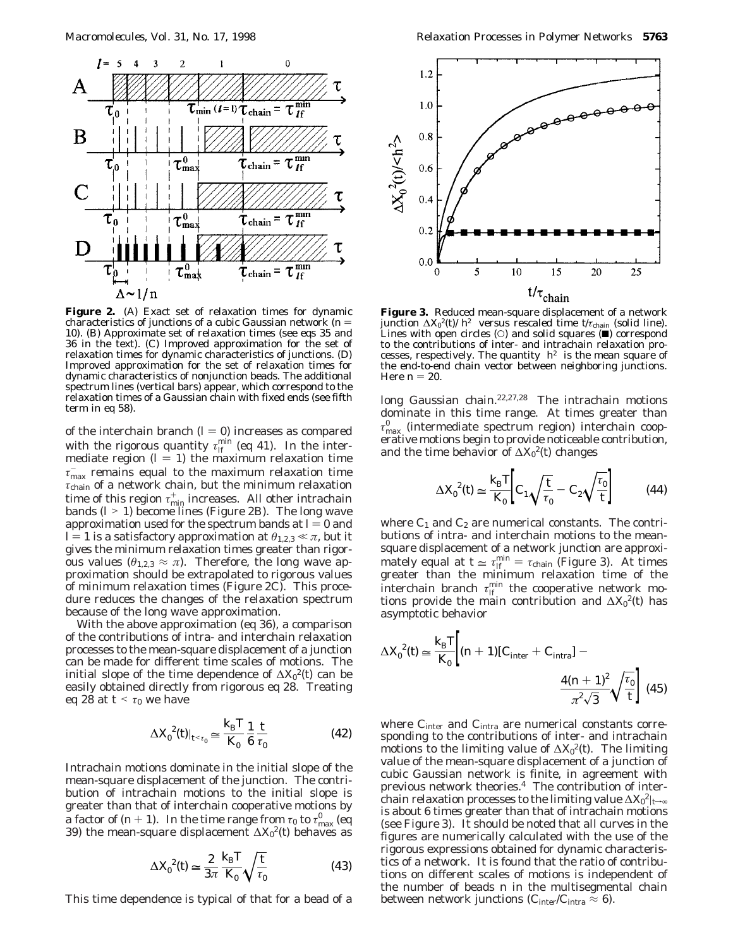

**Figure 2.** (A) Exact set of relaxation times for dynamic characteristics of junctions of a cubic Gaussian network  $(n =$ 10). (B) Approximate set of relaxation times (see eqs 35 and 36 in the text). (C) Improved approximation for the set of relaxation times for dynamic characteristics of junctions. (D) Improved approximation for the set of relaxation times for dynamic characteristics of nonjunction beads. The additional spectrum lines (vertical bars) appear, which correspond to the relaxation times of a Gaussian chain with fixed ends (see fifth term in eq 58).

of the interchain branch  $(l = 0)$  increases as compared with the rigorous quantity  $\tau_{\textit{lf}}^{\text{min}}$  (eq 41). In the intermediate region  $(l = 1)$  the maximum relaxation time  $\tau_{\text{max}}^-$  remains equal to the maximum relaxation time *τ*chain of a network chain, but the minimum relaxation time of this region  $\tau_{\min}^+$  increases. All other intrachain bands ( $l > 1$ ) become lines (Figure 2B). The long wave approximation used for the spectrum bands at  *and l* = 1 is a satisfactory approximation at  $\theta_{1,2,3} \ll \pi$ , but it gives the minimum relaxation times greater than rigorous values ( $\theta_{1,2,3} \approx \pi$ ). Therefore, the long wave approximation should be extrapolated to rigorous values of minimum relaxation times (Figure 2C). This procedure reduces the changes of the relaxation spectrum because of the long wave approximation.

With the above approximation (eq 36), a comparison of the contributions of intra- and interchain relaxation processes to the mean-square displacement of a junction can be made for different time scales of motions. The initial slope of the time dependence of ∆*X*<sup>0</sup> 2(*t*) can be easily obtained directly from rigorous eq 28. Treating eq 28 at  $t \leq \tau_0$  we have

$$
\Delta X_0^2(t)|_{t \le \tau_0} \simeq \frac{k_{\rm B}T}{K_0} \frac{1}{6} \frac{t}{\tau_0}
$$
 (42)

Intrachain motions dominate in the initial slope of the mean-square displacement of the junction. The contribution of intrachain motions to the initial slope is greater than that of interchain cooperative motions by a factor of  $(n+1)$ . In the time range from  $\tau_0$  to  $\tau_{\text{max}}^0$  (eq. 39) the mean-square displacement  $\Delta X_0^2(t)$  behaves as 39) the mean-square displacement ∆*X*<sup>0</sup> 2(*t*) behaves as

$$
\Delta X_0^2(t) \simeq \frac{2}{3\pi} \frac{k_\text{B} T}{K_0} \sqrt{\frac{t}{\tau_0}}
$$
(43)

This time dependence is typical of that for a bead of a



**Figure 3.** Reduced mean-square displacement of a network junction ∆*X*<sup>0</sup> 2(*t*)/〈*h*<sup>2</sup>〉 versus rescaled time *t*/*τ*chain (solid line). Lines with open circles  $(O)$  and solid squares  $(\blacksquare)$  correspond to the contributions of inter- and intrachain relaxation processes, respectively. The quantity  $\langle h^2 \rangle$  is the mean square of the end-to-end chain vector between neighboring junctions. Here  $n = 20$ .

long Gaussian chain.22,27,28 The intrachain motions dominate in this time range. At times greater than  $τ_{\rm max}^0$  (intermediate spectrum region) interchain cooperative motions begin to provide noticeable contribution, and the time behavior of ∆*X*<sup>0</sup> 2(*t*) changes

$$
\Delta X_0^2(t) \simeq \frac{k_\text{B} T}{K_0} \bigg[ C_1 \sqrt{\frac{t}{\tau_0}} - C_2 \sqrt{\frac{\tau_0}{t}} \bigg] \tag{44}
$$

where  $C_1$  and  $C_2$  are numerical constants. The contributions of intra- and interchain motions to the meansquare displacement of a network junction are approximately equal at  $t \approx \tau_H^{\text{min}} = \tau_{\text{chain}}$  (Figure 3). At times greater than the minimum relaxation time of the interchain branch  $\tau_{lf}^{\min}$  the cooperative network motions provide the main contribution and ∆*X*<sup>0</sup> 2(*t*) has asymptotic behavior

$$
\Delta X_0^2(t) \simeq \frac{k_{\rm B}T}{K_0} \Big[ (n+1)[C_{\rm inter} + C_{\rm intra}] - \frac{4(n+1)^2}{\pi^2 \sqrt{3}} \sqrt{\frac{\tau_0}{t}} \Big] \tag{45}
$$

where *C*<sub>inter</sub> and *C*<sub>intra</sub> are numerical constants corresponding to the contributions of inter- and intrachain motions to the limiting value of ∆*X*<sup>0</sup> 2(*t*). The limiting value of the mean-square displacement of a junction of cubic Gaussian network is finite, in agreement with previous network theories.4 The contribution of interchain relaxation processes to the limiting value  $\Delta X_0^2|_{t\rightarrow\infty}$ is about 6 times greater than that of intrachain motions (see Figure 3). It should be noted that all curves in the figures are numerically calculated with the use of the rigorous expressions obtained for dynamic characteristics of a network. It is found that the ratio of contributions on different scales of motions is independent of the number of beads *n* in the multisegmental chain between network junctions ( $C_{\text{inter}}/C_{\text{intra}} \approx 6$ ).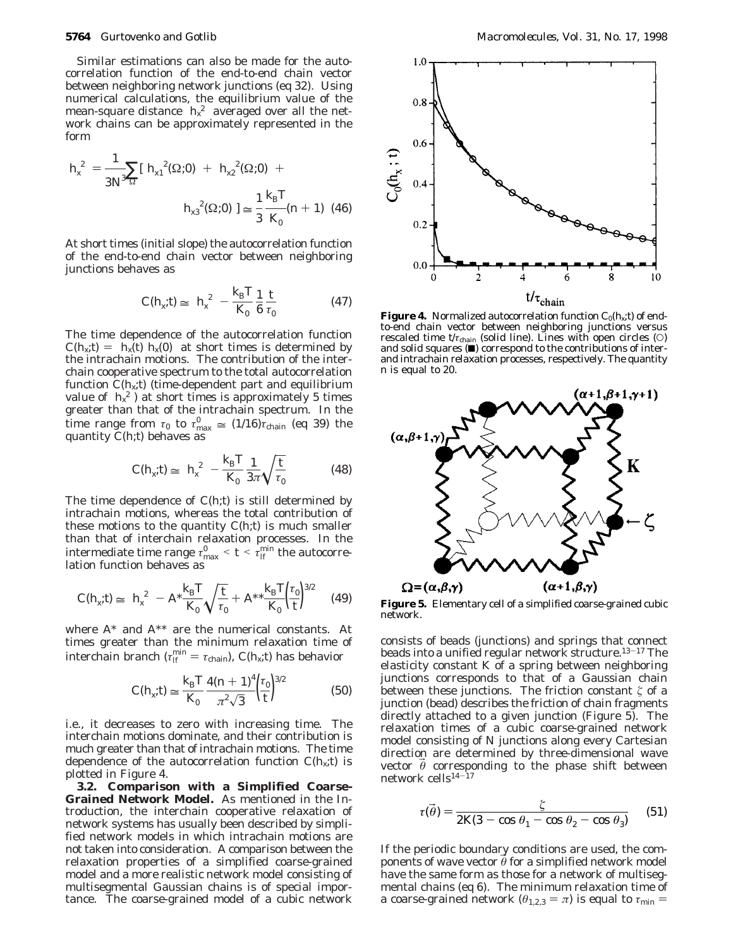Similar estimations can also be made for the autocorrelation function of the end-to-end chain vector between neighboring network junctions (eq 32). Using numerical calculations, the equilibrium value of the mean-square distance  $\langle h_{x}^{2} \rangle$  averaged over all the network chains can be approximately represented in the form

$$
\langle h_x^2 \rangle = \frac{1}{3N^3} \sum_{\Omega} \left[ \langle h_{x1}^2(\Omega; 0) \rangle + \langle h_{x2}^2(\Omega; 0) \rangle + \langle h_{x3}^2(\Omega; 0) \rangle \right] = \frac{1}{3} \frac{k_B T}{K_0} (n+1) \tag{46}
$$

At short times (initial slope) the autocorrelation function of the end-to-end chain vector between neighboring junctions behaves as

$$
C(h_x; t) \simeq \langle h_x^2 \rangle - \frac{k_\text{B} T}{K_0} \frac{1}{6} \frac{t}{\tau_0}
$$
 (47)

The time dependence of the autocorrelation function  $C(h_x; t) = \langle h_x(t) h_x(0) \rangle$  at short times is determined by the intrachain motions. The contribution of the interchain cooperative spectrum to the total autocorrelation function  $C(h_k; t)$  (time-dependent part and equilibrium value of  $\langle h_x^2 \rangle$  at short times is approximately 5 times greater than that of the intrachain spectrum. In the time range from  $\tau_0$  to  $\tau_{\text{max}}^0 \approx (1/16)\tau_{\text{chain}}$  (eq 39) the quantity  $\Gamma(F)$  behaves as quantity  $C(h; t)$  behaves as

$$
C(h_x; t) \simeq \langle h_x^2 \rangle - \frac{k_\text{B}T}{K_0} \frac{1}{3\pi} \sqrt{\frac{t}{\tau_0}}
$$
(48)

The time dependence of *C*(*h*;*t*) is still determined by intrachain motions, whereas the total contribution of these motions to the quantity  $C(h; t)$  is much smaller than that of interchain relaxation processes. In the intermediate time range  $\tau_{\text{max}}^0 < t < \tau_{\text{IF}}^{\text{min}}$  the autocorre-<br>lation function behaves as lation function behaves as

$$
C(h_x; t) \simeq \langle h_x^2 \rangle - A^* \frac{k_\text{B} T}{K_0} \sqrt{\frac{t}{\tau_0}} + A^{**} \frac{k_\text{B} T}{K_0} \left(\frac{\tau_0}{t}\right)^{3/2} \tag{49}
$$

where *A*\* and *A*\*\* are the numerical constants. At times greater than the minimum relaxation time of interchain branch ( $\tau_H^{\text{min}} = \tau_{\text{chain}}$ ),  $C(h_x; t)$  has behavior

$$
C(h_x; t) \simeq \frac{k_{\rm B} T}{K_0} \frac{4(n+1)^4}{\pi^2 \sqrt{3}} \left(\frac{\tau_0}{t}\right)^{3/2} \tag{50}
$$

i.e., it decreases to zero with increasing time. The interchain motions dominate, and their contribution is much greater than that of intrachain motions. The time dependence of the autocorrelation function  $C(h_x; t)$  is plotted in Figure 4.

**3.2. Comparison with a Simplified Coarse-Grained Network Model.** As mentioned in the Introduction, the interchain cooperative relaxation of network systems has usually been described by simplified network models in which intrachain motions are not taken into consideration. A comparison between the relaxation properties of a simplified coarse-grained model and a more realistic network model consisting of multisegmental Gaussian chains is of special importance. The coarse-grained model of a cubic network



**Figure 4.** Normalized autocorrelation function  $C_0(h_x; t)$  of endto-end chain vector between neighboring junctions versus rescaled time  $t/\tau_{\text{chain}}$  (solid line). Lines with open circles (O) and solid squares  $(\blacksquare)$  correspond to the contributions of interand intrachain relaxation processes, respectively. The quantity *n* is equal to 20.



**Figure 5.** Elementary cell of a simplified coarse-grained cubic network.

consists of beads (junctions) and springs that connect beads into a unified regular network structure.<sup>13-17</sup> The elasticity constant *K* of a spring between neighboring junctions corresponds to that of a Gaussian chain between these junctions. The friction constant  $\zeta$  of a junction (bead) describes the friction of chain fragments directly attached to a given junction (Figure 5). The relaxation times of a cubic coarse-grained network model consisting of *N* junctions along every Cartesian direction are determined by three-dimensional wave vector  $\theta$  corresponding to the phase shift between network cells14-<sup>17</sup>

$$
\tau(\vec{\theta}) = \frac{\zeta}{2K(3 - \cos\theta_1 - \cos\theta_2 - \cos\theta_3)}
$$
(51)

If the periodic boundary conditions are used, the components of wave vector  $\theta$  for a simplified network model have the same form as those for a network of multisegmental chains (eq 6). The minimum relaxation time of a coarse-grained network ( $\theta_{1,2,3} = \pi$ ) is equal to  $\tau_{\min} =$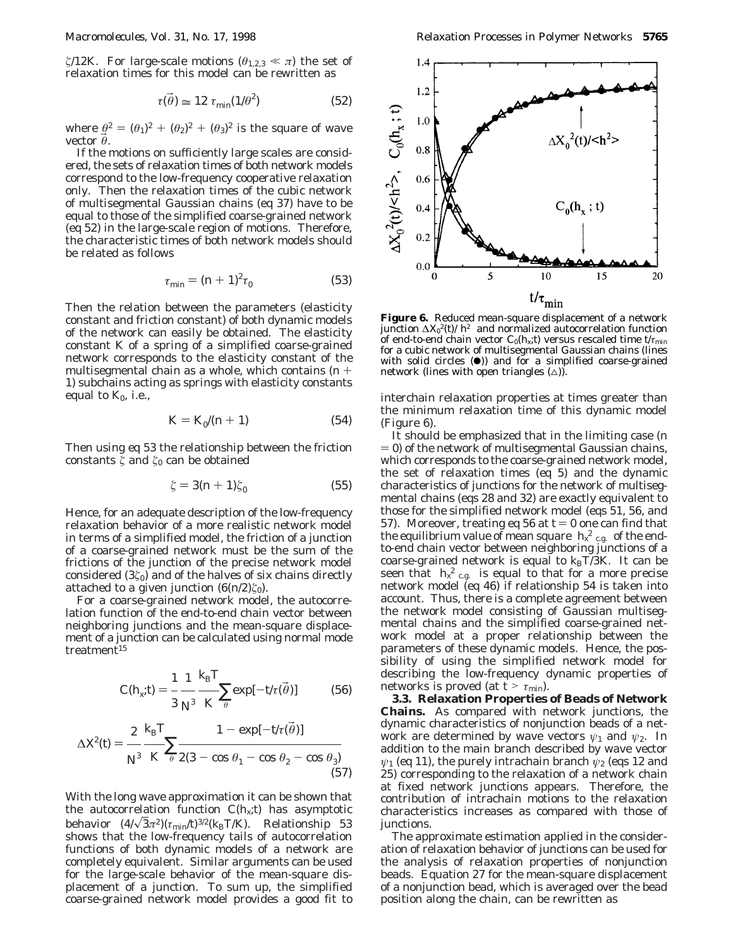*ξ*/12*K*. For large-scale motions ( $\theta_{1,2,3} \ll \pi$ ) the set of relaxation times for this model can be rewritten as

$$
\tau(\vec{\theta}) \simeq 12 \ \tau_{\min}(1/\theta^2) \tag{52}
$$

where  $\theta^2 = (\theta_1)^2 + (\theta_2)^2 + (\theta_3)^2$  is the square of wave vector B*θ*.

If the motions on sufficiently large scales are considered, the sets of relaxation times of both network models correspond to the low-frequency cooperative relaxation only. Then the relaxation times of the cubic network of multisegmental Gaussian chains (eq 37) have to be equal to those of the simplified coarse-grained network (eq 52) in the large-scale region of motions. Therefore, the characteristic times of both network models should be related as follows

$$
\tau_{\min} = (n+1)^2 \tau_0 \tag{53}
$$

Then the relation between the parameters (elasticity constant and friction constant) of both dynamic models of the network can easily be obtained. The elasticity constant *K* of a spring of a simplified coarse-grained network corresponds to the elasticity constant of the multisegmental chain as a whole, which contains (*<sup>n</sup>* + 1) subchains acting as springs with elasticity constants equal to  $K_0$ , i.e.,

$$
K = K_0/(n+1) \tag{54}
$$

Then using eq 53 the relationship between the friction constants  $\zeta$  and  $\zeta_0$  can be obtained

$$
\zeta = 3(n+1)\zeta_0 \tag{55}
$$

Hence, for an adequate description of the low-frequency relaxation behavior of a more realistic network model in terms of a simplified model, the friction of a junction of a coarse-grained network must be the sum of the frictions of the junction of the precise network model considered (3*ú*0) and of the halves of six chains directly attached to a given junction  $(6(n/2)\zeta_0)$ .

For a coarse-grained network model, the autocorrelation function of the end-to-end chain vector between neighboring junctions and the mean-square displacement of a junction can be calculated using normal mode treatment<sup>15</sup>

$$
C(h_x; t) = \frac{1}{3} \frac{1}{N^{\beta}} \frac{k_{\rm B}T}{K \bar{\theta}} \exp[-t'\tau(\bar{\theta})]
$$
(56)

$$
\Delta X^2(t) = \frac{2}{N^3} \frac{k_B T}{K} \sum_{\hat{\theta}} \frac{1 - \exp[-t/\tau(\vec{\theta})]}{2(3 - \cos \theta_1 - \cos \theta_2 - \cos \theta_3)}
$$
(57)

With the long wave approximation it can be shown that the autocorrelation function  $C(h_x; t)$  has asymptotic behavior  $(4/\sqrt{3}\pi^2)(\tau_{min}/t)^{3/2}(k_BT/K)$ . Relationship 53 shows that the low-frequency tails of autocorrelation functions of both dynamic models of a network are completely equivalent. Similar arguments can be used for the large-scale behavior of the mean-square displacement of a junction. To sum up, the simplified coarse-grained network model provides a good fit to



**Figure 6.** Reduced mean-square displacement of a network junction ∆*X*<sup>0</sup> 2(*t*)/〈*h*<sup>2</sup>〉 and normalized autocorrelation function of end-to-end chain vector  $C_0(h_x; t)$  versus rescaled time  $t/\tau_{\min}$ for a cubic network of multisegmental Gaussian chains (lines with solid circles  $(•)$ ) and for a simplified coarse-grained network (lines with open triangles  $(\triangle)$ ).

interchain relaxation properties at times greater than the minimum relaxation time of this dynamic model (Figure 6).

It should be emphasized that in the limiting case (*n*  $= 0$ ) of the network of multisegmental Gaussian chains, which corresponds to the coarse-grained network model, the set of relaxation times (eq 5) and the dynamic characteristics of junctions for the network of multisegmental chains (eqs 28 and 32) are exactly equivalent to those for the simplified network model (eqs 51, 56, and 57). Moreover, treating eq 56 at  $t = 0$  one can find that the equilibrium value of mean square  $\langle h_x^2 \rangle_{\rm c.g.}$  of the endto-end chain vector between neighboring junctions of a coarse-grained network is equal to  $k_B T/3K$ . It can be seen that  $\langle h_x^2 \rangle_{\text{c.g.}}$  is equal to that for a more precise network model (eq 46) if relationship 54 is taken into account. Thus, there is a complete agreement between the network model consisting of Gaussian multisegmental chains and the simplified coarse-grained network model at a proper relationship between the parameters of these dynamic models. Hence, the possibility of using the simplified network model for describing the low-frequency dynamic properties of networks is proved (at  $t > \tau_{\min}$ ).

**3.3. Relaxation Properties of Beads of Network Chains.** As compared with network junctions, the dynamic characteristics of nonjunction beads of a network are determined by wave vectors  $\psi_1$  and  $\psi_2$ . In addition to the main branch described by wave vector *ψ*<sup>1</sup> (eq 11), the purely intrachain branch *ψ*<sup>2</sup> (eqs 12 and 25) corresponding to the relaxation of a network chain at fixed network junctions appears. Therefore, the contribution of intrachain motions to the relaxation characteristics increases as compared with those of junctions.

The approximate estimation applied in the consideration of relaxation behavior of junctions can be used for the analysis of relaxation properties of nonjunction beads. Equation 27 for the mean-square displacement of a nonjunction bead, which is averaged over the bead position along the chain, can be rewritten as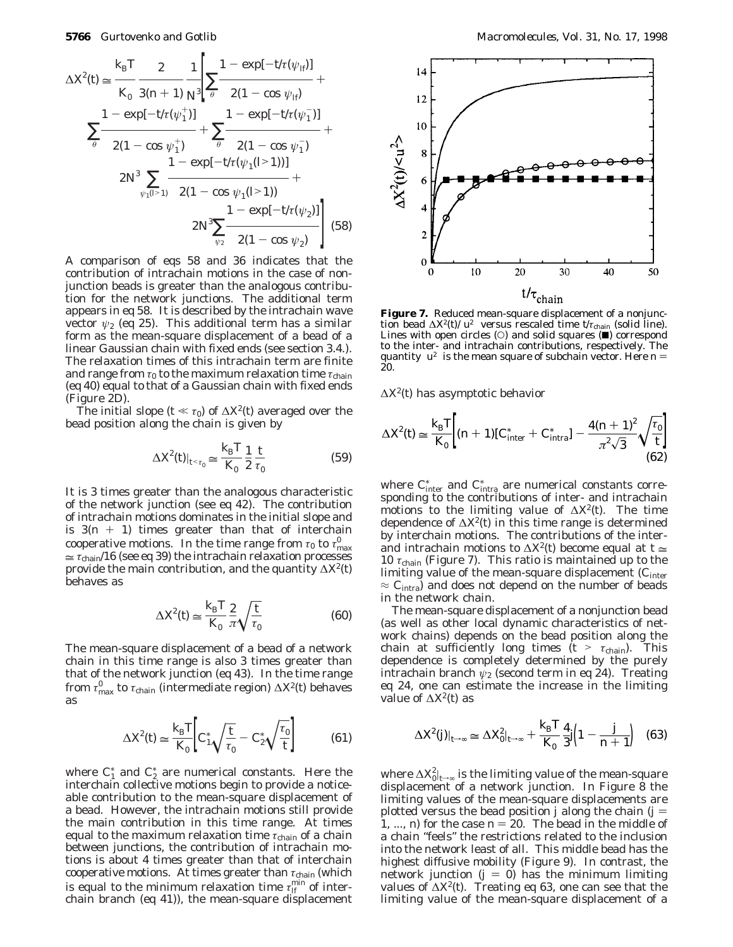$$
\Delta X^{2}(t) \approx \frac{k_{\rm B}T}{K_{0}} \frac{2}{3(n+1)} \frac{1}{N^{3}} \left[ \sum_{\vec{\theta}} \frac{1 - \exp[-t/\tau(\psi_{B})]}{2(1 - \cos \psi_{B})} + \frac{1 - \exp[-t/\tau(\psi_{\vec{1}})]}{2(1 - \cos \psi_{\vec{1}})} \right]
$$
  

$$
\sum_{\vec{\theta}} \frac{1 - \exp[-t/\tau(\psi_{\vec{1}})]}{2(1 - \cos \psi_{\vec{1}})} + \sum_{\vec{\theta}} \frac{1 - \exp[-t/\tau(\psi_{\vec{1}})]}{2(1 - \cos \psi_{\vec{1}})} + \frac{1 - \exp[-t/\tau(\psi_{\vec{1}})]}{2(1 - \cos \psi_{\vec{1}}(l^{>1}))} + \frac{1 - \exp[-t/\tau(\psi_{\vec{2}})]}{2N^{3} \sum_{\psi_{2}} \frac{1 - \exp[-t/\tau(\psi_{2})]}{2(1 - \cos \psi_{2})} \right]
$$
(58)

A comparison of eqs 58 and 36 indicates that the contribution of intrachain motions in the case of nonjunction beads is greater than the analogous contribution for the network junctions. The additional term appears in eq 58. It is described by the intrachain wave vector  $\psi_2$  (eq 25). This additional term has a similar form as the mean-square displacement of a bead of a linear Gaussian chain with fixed ends (see section 3.4.). The relaxation times of this intrachain term are finite and range from *τ*<sup>0</sup> to the maximum relaxation time *τ*chain (eq 40) equal to that of a Gaussian chain with fixed ends (Figure 2D).

The initial slope ( $t \ll \tau_0$ ) of  $\Delta X^2(t)$  averaged over the bead position along the chain is given by

$$
\Delta X^2(t)|_{t < \tau_0} \simeq \frac{k_{\rm B}T}{K_0} \frac{1}{2} \frac{t}{\tau_0}
$$
\n(59)

It is 3 times greater than the analogous characteristic of the network junction (see eq 42). The contribution of intrachain motions dominates in the initial slope and is  $3(n + 1)$  times greater than that of interchain cooperative motions. In the time range from  $\tau_0$  to  $\tau_{\rm max}^0$  $\approx \tau_{\text{chain}}/16$  (see eq 39) the intrachain relaxation processes provide the main contribution, and the quantity ∆*X*2(*t*) behaves as

$$
\Delta X^2(t) \simeq \frac{k_{\rm B} T}{K_0} \frac{2}{\pi} \sqrt{\frac{t}{\tau_0}}
$$
(60)

The mean-square displacement of a bead of a network chain in this time range is also 3 times greater than that of the network junction (eq 43). In the time range from  $\tau_{\text{max}}^0$  to  $\tau_{\text{chain}}$  (intermediate region)  $\Delta \mathit{X}^{\!\!2}(\mathit{t})$  behaves as

$$
\Delta X^2(t) \simeq \frac{k_{\rm B}T}{K_0} \bigg[ C_1^* \sqrt{\frac{t}{\tau_0}} - C_2^* \sqrt{\frac{\tau_0}{t}} \bigg] \tag{61}
$$

where  $C_1^*$  and  $C_2^*$  are numerical constants. Here the interchain collective motions begin to provide a noticeable contribution to the mean-square displacement of a bead. However, the intrachain motions still provide the main contribution in this time range. At times equal to the maximum relaxation time *τ*chain of a chain between junctions, the contribution of intrachain motions is about 4 times greater than that of interchain cooperative motions. At times greater than *τ*chain (which is equal to the minimum relaxation time  $\tau_H^\text{min}$  of interchain branch (eq 41)), the mean-square displacement



tion bead  $\Delta X^2(t)/\langle u^2 \rangle$  versus rescaled time  $t/\tau_{\text{chain}}$  (solid line). Lines with open circles  $(0)$  and solid squares  $(1)$  correspond to the inter- and intrachain contributions, respectively. The quantity  $\langle u^2 \rangle$  is the mean square of subchain vector. Here  $n =$ 20.

∆*X*2(*t*) has asymptotic behavior

$$
\Delta X^{2}(t) \simeq \frac{k_{\rm B} T}{K_{0}} \bigg[ (n+1) [\, C_{\rm inter}^{*} + C_{\rm intra}^{*}] - \frac{4(n+1)^{2}}{\pi^{2} \sqrt{3}} \sqrt{\frac{\tau_{0}}{t}} \bigg] \tag{62}
$$

where  $C_{\text{inter}}^*$  and  $C_{\text{intra}}^*$  are numerical constants corresponding to the contributions of inter- and intrachain motions to the limiting value of ∆*X*2(*t*). The time dependence of ∆*X*2(*t*) in this time range is determined by interchain motions. The contributions of the interand intrachain motions to  $\Delta X^2(t)$  become equal at  $t \approx$ 10  $\tau_{\text{chain}}$  (Figure 7). This ratio is maintained up to the limiting value of the mean-square displacement (*C*inter  $\approx$   $C_{\text{intra}}$ ) and does not depend on the number of beads in the network chain.

The mean-square displacement of a nonjunction bead (as well as other local dynamic characteristics of network chains) depends on the bead position along the chain at sufficiently long times  $(t > \tau_{chain})$ . This dependence is completely determined by the purely intrachain branch  $\psi_2$  (second term in eq 24). Treating eq 24, one can estimate the increase in the limiting value of ∆*X*2(*t*) as

$$
\Delta X^2(j)|_{t\to\infty} \simeq \Delta X_0^2|_{t\to\infty} + \frac{k_\text{B}T}{K_0} \frac{4}{3} j \Big( 1 - \frac{j}{n+1} \Big) \quad (63)
$$

where  $\Delta \chi^2_{0}|_{t\rightarrow\infty}$  is the limiting value of the mean-square displacement of a network junction. In Figure 8 the limiting values of the mean-square displacements are plotted versus the bead position *j* along the chain  $(j =$ 1, ..., *n*) for the case  $n = 20$ . The bead in the middle of a chain "feels" the restrictions related to the inclusion into the network least of all. This middle bead has the highest diffusive mobility (Figure 9). In contrast, the network junction  $(j = 0)$  has the minimum limiting values of ∆*X*2(*t*). Treating eq 63, one can see that the limiting value of the mean-square displacement of a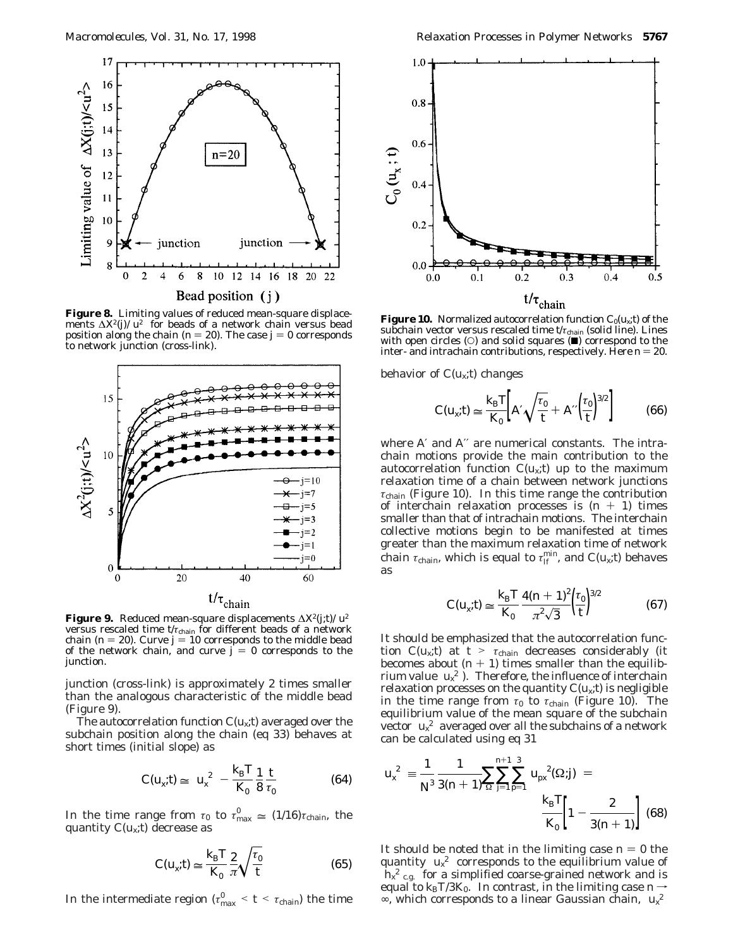

**Figure 8.** Limiting values of reduced mean-square displacements  $\Delta X^2(\eta)/\langle u^2 \rangle$  for beads of a network chain versus bead position along the chain ( $n = 20$ ). The case  $j = 0$  corresponds to network junction (cross-link).



**Figure 9.** Reduced mean-square displacements  $\Delta X^2(j; t)/\langle u^2 \rangle$ versus rescaled time  $t/\tau_{\text{chain}}$  for different beads of a network chain ( $n = 20$ ). Curve  $j = 10$  corresponds to the middle bead of the network chain, and curve  $j = 0$  corresponds to the junction.

junction (cross-link) is approximately 2 times smaller than the analogous characteristic of the middle bead (Figure 9).

The autocorrelation function  $C(u_x; t)$  averaged over the subchain position along the chain (eq 33) behaves at short times (initial slope) as

$$
C(u_x; t) \simeq \langle u_x^2 \rangle - \frac{k_\text{B}T}{K_0} \frac{1}{8} \frac{t}{\tau_0}
$$
 (64)

In the time range from  $\tau_0$  to  $\tau_{\text{max}}^0 \approx (1/16)\tau_{\text{chain}}$ , the quantity  $\hat{C}(n, t)$  decrease as quantity *C*(*ux*;*t*) decrease as

$$
C(u_x; t) \simeq \frac{k_{\rm B} T}{K_0} \frac{2}{\pi} \sqrt{\frac{\tau_0}{t}}
$$
(65)

In the intermediate region ( $\tau_{\text{max}}^0 < t < \tau_{\text{chain}}$ ) the time



**Figure 10.** Normalized autocorrelation function  $C_0(u_x; t)$  of the subchain vector versus rescaled time  $t/\tau_{\text{chain}}$  (solid line). Lines with open circles  $(0)$  and solid squares  $(4)$  correspond to the inter- and intrachain contributions, respectively. Here  $n = 20$ .

behavior of  $C(u_x; t)$  changes

$$
C(u_x; t) \simeq \frac{k_\text{B} T}{K_0} \bigg[ A' \sqrt{\frac{\tau_0}{t}} + A'' \Big(\frac{\tau_0}{t}\Big)^{3/2} \bigg] \tag{66}
$$

where *A*′ and *A*′′ are numerical constants. The intrachain motions provide the main contribution to the autocorrelation function  $C(u_x;t)$  up to the maximum relaxation time of a chain between network junctions  $\tau_{\text{chain}}$  (Figure 10). In this time range the contribution of interchain relaxation processes is  $(n + 1)$  times smaller than that of intrachain motions. The interchain collective motions begin to be manifested at times greater than the maximum relaxation time of network chain  $\tau_{\text{chain}}$ , which is equal to  $\tau_{\text{If}}^{\text{min}}$ , and  $C(u_x; t)$  behaves as

$$
C(u_x; t) \simeq \frac{k_{\rm B} T}{K_0} \frac{4(n+1)^2}{\pi^2 \sqrt{3}} \left(\frac{\tau_0}{t}\right)^{3/2} \tag{67}
$$

It should be emphasized that the autocorrelation function  $C(u_x; t)$  at  $t > \tau_{\text{chain}}$  decreases considerably (it becomes about  $(n + 1)$  times smaller than the equilibrium value  $\langle u_x^2 \rangle$ ). Therefore, the influence of interchain relaxation processes on the quantity  $C(u_x; t)$  is negligible in the time range from  $\tau_0$  to  $\tau_{\text{chain}}$  (Figure 10). The equilibrium value of the mean square of the subchain vector  $\langle u_x^2 \rangle$  averaged over all the subchains of a network can be calculated using eq 31

$$
\langle u_x^2 \rangle \equiv \frac{1}{N^3} \frac{1}{3(n+1)} \sum_{\Omega} \sum_{j=1}^{n+1} \sum_{p=1}^3 \langle u_{\text{px}}^2 (\Omega;j) \rangle = \frac{k_{\text{B}} T}{K_0} \left[ 1 - \frac{2}{3(n+1)} \right] (68)
$$

It should be noted that in the limiting case  $n = 0$  the quantity  $\langle u_x^2 \rangle$  corresponds to the equilibrium value of  $\langle h_x^2 \rangle_{\text{c.g.}}$  for a simplified coarse-grained network and is equal to  $k_B T/3K_0$ . In contrast, in the limiting case  $n \rightarrow$ ∞, which corresponds to a linear Gaussian chain, 〈*ux* 2〉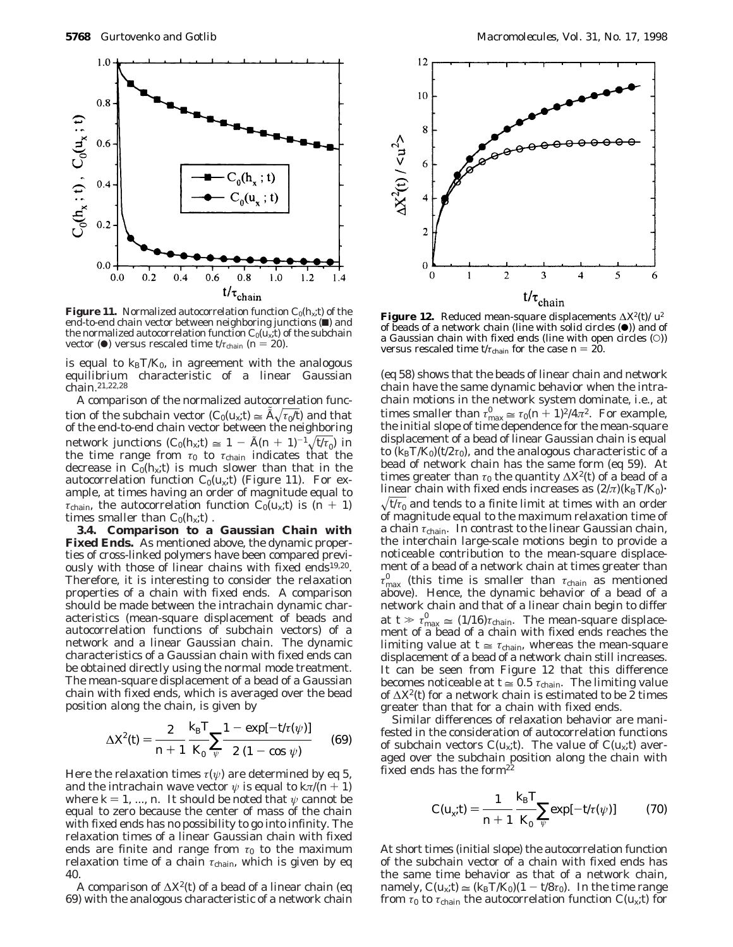

**Figure 11.** Normalized autocorrelation function  $C_0(h_x; t)$  of the end-to-end chain vector between neighboring junctions ( $\blacksquare$ ) and the normalized autocorrelation function  $C_0(u_x; t)$  of the subchain vector ( $\bullet$ ) versus rescaled time *t*/*τ*<sub>chain</sub> (*n* = 20).

is equal to  $k_B T/K_0$ , in agreement with the analogous equilibrium characteristic of a linear Gaussian chain.21,22,28

A comparison of the normalized autocorrelation function of the subchain vector  $(C_0(u_x; t) \cong A \sqrt{\tau_0 / t}$  and that<br>of the end-to-end chain vector between the neighboring of the end-to-end chain vector between the neighboring network junctions  $(C_0(h_x; t) \approx 1 - \tilde{A}(n+1)^{-1}\sqrt{t/\tau_0}$  in<br>the time range from  $\tau_0$  to  $\tau_{\text{chain}}$  indicates that the the time range from  $\tau_0$  to  $\tau_{\text{chain}}$  indicates that the decrease in  $\tilde{C}_0(h_x; t)$  is much slower than that in the autocorrelation function  $C_0(u_x; t)$  (Figure 11). For example, at times having an order of magnitude equal to *τ*<sub>chain</sub>, the autocorrelation function  $C_0(u_x; t)$  is  $(n + 1)$ times smaller than  $C_0(h_x; t)$ .

**3.4. Comparison to a Gaussian Chain with Fixed Ends.** As mentioned above, the dynamic properties of cross-linked polymers have been compared previously with those of linear chains with fixed ends<sup>19,20</sup>. Therefore, it is interesting to consider the relaxation properties of a chain with fixed ends. A comparison should be made between the intrachain dynamic characteristics (mean-square displacement of beads and autocorrelation functions of subchain vectors) of a network and a linear Gaussian chain. The dynamic characteristics of a Gaussian chain with fixed ends can be obtained directly using the normal mode treatment. The mean-square displacement of a bead of a Gaussian chain with fixed ends, which is averaged over the bead position along the chain, is given by

$$
\Delta X^{2}(t) = \frac{2}{n+1} \frac{k_{\rm B} T}{K_{0}} \sum_{\psi} \frac{1 - \exp[-t/\tau(\psi)]}{2 (1 - \cos \psi)} \qquad (69)
$$

Here the relaxation times  $\tau(\psi)$  are determined by eq 5, and the intrachain wave vector  $\psi$  is equal to  $k\pi/(n+1)$ where  $k = 1, ..., n$ . It should be noted that  $\psi$  cannot be equal to zero because the center of mass of the chain with fixed ends has no possibility to go into infinity. The relaxation times of a linear Gaussian chain with fixed ends are finite and range from  $\tau_0$  to the maximum relaxation time of a chain *τ*chain, which is given by eq 40.

A comparison of ∆*X*2(*t*) of a bead of a linear chain (eq 69) with the analogous characteristic of a network chain



of beads of a network chain (line with solid circles  $(•)$ ) and of a Gaussian chain with fixed ends (line with open circles (O)) versus rescaled time  $t/\tau_{\text{chain}}$  for the case  $n = 20$ .

(eq 58) shows that the beads of linear chain and network chain have the same dynamic behavior when the intrachain motions in the network system dominate, i.e., at times smaller than  $\tau_{\text{max}}^0 \approx \tau_0 (n+1)^2 / 4\pi^2$ . For example, the initial slope of time dependence for the mean-square the initial slope of time dependence for the mean-square displacement of a bead of linear Gaussian chain is equal to  $(k_B T/K_0)(t/2\tau_0)$ , and the analogous characteristic of a bead of network chain has the same form (eq 59). At times greater than  $\tau_0$  the quantity  $\Delta X^2(t)$  of a bead of a linear chain with fixed ends increases as  $(2/\pi)(k_B T/K_0)$ .  $\sqrt{t/\tau_0}$  and tends to a finite limit at times with an order of magnitude equal to the maximum relaxation time of a chain *τ*chain. In contrast to the linear Gaussian chain, the interchain large-scale motions begin to provide a noticeable contribution to the mean-square displacement of a bead of a network chain at times greater than  $\tau_{\text{max}}^0$  (this time is smaller than  $\tau_{\text{chain}}$  as mentioned above). Hence, the dynamic behavior of a bead of a network chain and that of a linear chain begin to differ at  $t \gg \tau_{\text{max}}^0 \approx (1/16)\tau_{\text{chain}}$ . The mean-square displace-<br>ment of a bead of a chain with fixed ends reaches the ment of a bead of a chain with fixed ends reaches the limiting value at  $t \approx \tau_{\text{chain}}$ , whereas the mean-square displacement of a bead of a network chain still increases. It can be seen from Figure 12 that this difference becomes noticeable at  $t \approx 0.5 \tau_{\text{chain}}$ . The limiting value of ∆*X*2(*t*) for a network chain is estimated to be 2 times greater than that for a chain with fixed ends.

Similar differences of relaxation behavior are manifested in the consideration of autocorrelation functions of subchain vectors  $C(u_x; t)$ . The value of  $C(u_x; t)$  averaged over the subchain position along the chain with fixed ends has the form $2\overline{2}$ 

$$
C(u_x; t) = \frac{1}{n+1} \frac{k_{\rm B}T}{K_0} \sum_{\psi} \exp[-t/\tau(\psi)] \tag{70}
$$

At short times (initial slope) the autocorrelation function of the subchain vector of a chain with fixed ends has the same time behavior as that of a network chain, namely,  $C(u_x; t) \approx (k_B T/K_0)(1 - t/8\tau_0)$ . In the time range from  $\tau_0$  to  $\tau_{\text{chain}}$  the autocorrelation function  $C(u_x; t)$  for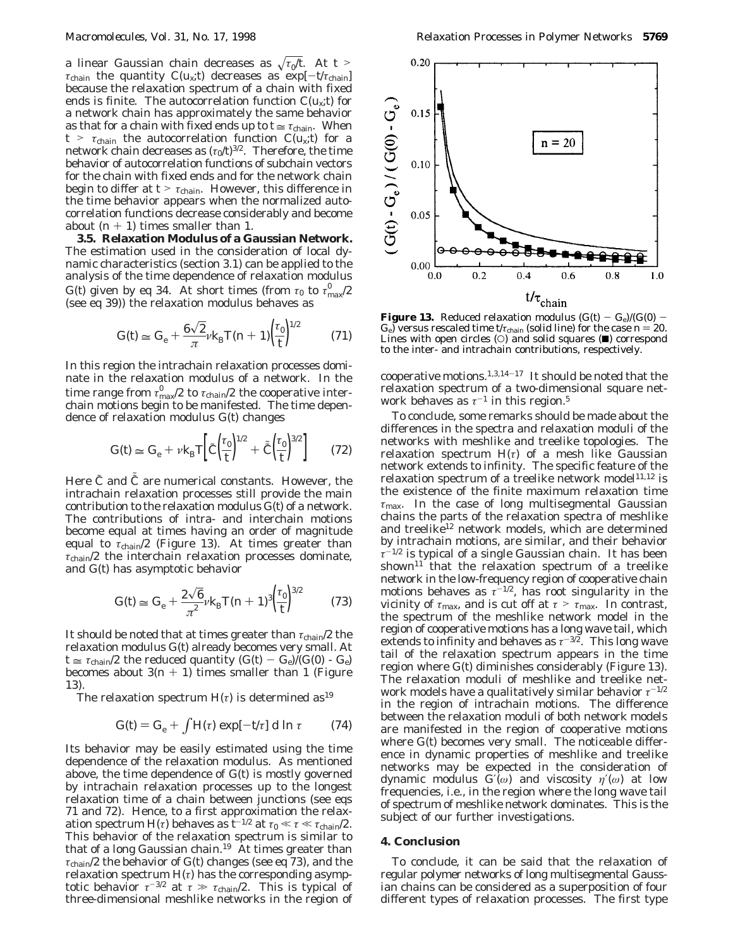a linear Gaussian chain decreases as  $\sqrt{\tau_0/t}$ . At  $t >$ *τ*<sub>chain</sub> the quantity *C*( $u_x$ ;*t*) decreases as exp[ $-t/\tau_{\text{chain}}$ ] because the relaxation spectrum of a chain with fixed ends is finite. The autocorrelation function  $C(u_x;t)$  for a network chain has approximately the same behavior as that for a chain with fixed ends up to  $t \approx \tau_{\text{chain}}$ . When  $t > \tau_{\text{chain}}$  the autocorrelation function  $C(u_x; t)$  for a network chain decreases as  $(\tau_0/t)^{3/2}$ . Therefore, the time behavior of autocorrelation functions of subchain vectors for the chain with fixed ends and for the network chain begin to differ at  $t > \tau_{chain}$ . However, this difference in the time behavior appears when the normalized autocorrelation functions decrease considerably and become about  $(n + 1)$  times smaller than 1.

**3.5. Relaxation Modulus of a Gaussian Network.** The estimation used in the consideration of local dynamic characteristics (section 3.1) can be applied to the analysis of the time dependence of relaxation modulus *G*(*t*) given by eq 34. At short times (from *τ*<sub>0</sub> to  $\tau_{\text{max}}^0/2$ (see eq 39)) the relaxation modulus behaves as

$$
G(t) \simeq G_{\rm e} + \frac{6\sqrt{2}}{\pi} \nu k_{\rm B} T(n+1) \left(\frac{\tau_0}{t}\right)^{1/2} \tag{71}
$$

In this region the intrachain relaxation processes dominate in the relaxation modulus of a network. In the time range from  $\tau_\mathrm{max}^0/2$  to  $\tau_\mathrm{chain}/2$  the cooperative interchain motions begin to be manifested. The time dependence of relaxation modulus *G*(*t*) changes

$$
G(t) \simeq G_{\rm e} + \nu k_{\rm B} T \left[ \tilde{C} \left( \frac{\tau_0}{t} \right)^{1/2} + \tilde{\tilde{C}} \left( \frac{\tau_0}{t} \right)^{3/2} \right] \tag{72}
$$

Here *C* and *C* are numerical constants. However, the<br>intrachain relaxation processes still provide the main intrachain relaxation processes still provide the main contribution to the relaxation modulus *G*(*t*) of a network. The contributions of intra- and interchain motions become equal at times having an order of magnitude equal to *τ*chain/2 (Figure 13). At times greater than *τ*chain/2 the interchain relaxation processes dominate, and *G*(*t*) has asymptotic behavior

$$
G(t) \simeq G_{\rm e} + \frac{2\sqrt{6}}{\pi^2} \nu k_{\rm B} T(n+1)^3 \left(\frac{\tau_0}{t}\right)^{3/2} \tag{73}
$$

It should be noted that at times greater than *τ*chain/2 the relaxation modulus *G*(*t*) already becomes very small. At  $t \approx \tau_{\text{chain}}/2$  the reduced quantity  $(G(t) - G_e)/(G(0) - G_e)$ becomes about  $3(n + 1)$  times smaller than 1 (Figure 13).

The relaxation spectrum  $H(\tau)$  is determined as<sup>19</sup>

$$
G(t) = G_{\rm e} + \int H(\tau) \exp[-t/\tau] \, \mathrm{d} \ln \tau \qquad (74)
$$

Its behavior may be easily estimated using the time dependence of the relaxation modulus. As mentioned above, the time dependence of *G*(*t*) is mostly governed by intrachain relaxation processes up to the longest relaxation time of a chain between junctions (see eqs 71 and 72). Hence, to a first approximation the relaxation spectrum *H*(*τ*) behaves as  $\bar{t}^{-1/2}$  at  $\tau_0 \ll \tau \ll \tau_{\text{chain}}/2$ . This behavior of the relaxation spectrum is similar to that of a long Gaussian chain.<sup>19</sup> At times greater than *τ*chain/2 the behavior of *G*(*t*) changes (see eq 73), and the relaxation spectrum *H*(*τ*) has the corresponding asymptotic behavior  $\tau^{-3/2}$  at  $\tau \gg \tau_{\text{chain}}/2$ . This is typical of<br>three-dimensional meshlike networks in the region of three-dimensional meshlike networks in the region of



**Figure 13.** Reduced relaxation modulus  $(G(t) - G_e)/(G(0))$ *G*e) versus rescaled time  $t/\tau_{\text{chain}}$  (solid line) for the case  $n = 20$ . Lines with open circles  $(O)$  and solid squares  $(\blacksquare)$  correspond to the inter- and intrachain contributions, respectively.

cooperative motions.1,3,14-<sup>17</sup> It should be noted that the relaxation spectrum of a two-dimensional square network behaves as  $\tau^{-1}$  in this region.<sup>5</sup>

To conclude, some remarks should be made about the differences in the spectra and relaxation moduli of the networks with meshlike and treelike topologies. The relaxation spectrum  $H(\tau)$  of a mesh like Gaussian network extends to infinity. The specific feature of the relaxation spectrum of a treelike network model<sup>11,12</sup> is the existence of the finite maximum relaxation time *τ*max. In the case of long multisegmental Gaussian chains the parts of the relaxation spectra of meshlike and treelike<sup>12</sup> network models, which are determined by intrachain motions, are similar, and their behavior *τ*-1/2 is typical of a single Gaussian chain. It has been shown $11$  that the relaxation spectrum of a treelike network in the low-frequency region of cooperative chain motions behaves as  $\tau^{-1/2}$ , has root singularity in the vicinity of  $\tau_{\text{max}}$ , and is cut off at  $\tau > \tau_{\text{max}}$ . In contrast, the spectrum of the meshlike network model in the region of cooperative motions has a long wave tail, which extends to infinity and behaves as  $\tau^{-3/2}$ . This long wave tail of the relaxation spectrum appears in the time region where *G*(*t*) diminishes considerably (Figure 13). The relaxation moduli of meshlike and treelike network models have a qualitatively similar behavior *τ*-1/2 in the region of intrachain motions. The difference between the relaxation moduli of both network models are manifested in the region of cooperative motions where *G*(*t*) becomes very small. The noticeable difference in dynamic properties of meshlike and treelike networks may be expected in the consideration of dynamic modulus *G*′(*ω*) and viscosity *η*′(*ω*) at low frequencies, i.e., in the region where the long wave tail of spectrum of meshlike network dominates. This is the subject of our further investigations.

# **4. Conclusion**

To conclude, it can be said that the relaxation of regular polymer networks of long multisegmental Gaussian chains can be considered as a superposition of four different types of relaxation processes. The first type